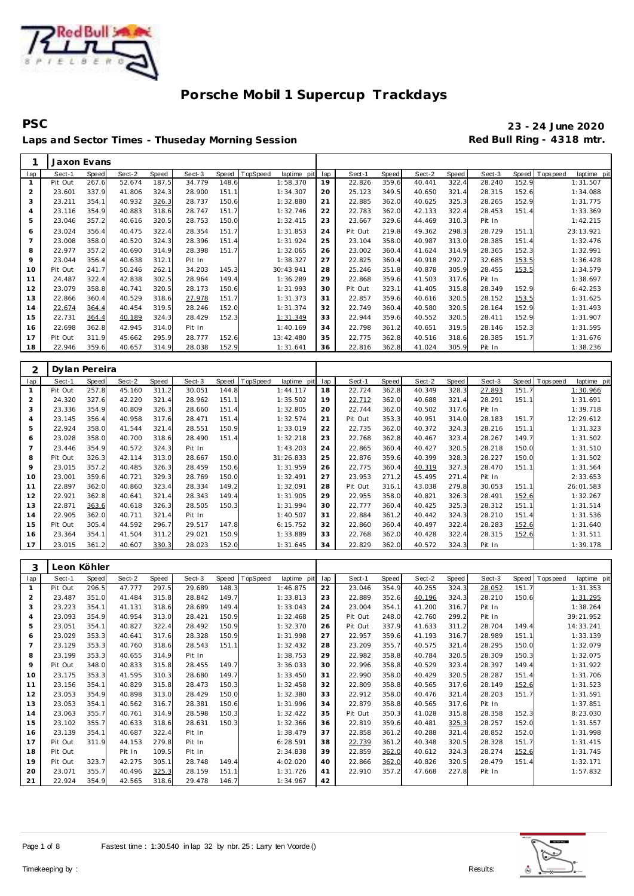

**PSC 23 - 24 June 2020** Laps and Sector Times - Thuseday Morning Session **Red Bull Ring - 4318 mtr.** 

|     | Jaxon Evans |              |        |       |        |       |          |             |     |         |       |        |       |        |       |            |             |
|-----|-------------|--------------|--------|-------|--------|-------|----------|-------------|-----|---------|-------|--------|-------|--------|-------|------------|-------------|
| lap | Sect-1      | <b>Speed</b> | Sect-2 | Speed | Sect-3 | Speed | TopSpeed | laptime pit | lap | Sect-1  | Speed | Sect-2 | Speed | Sect-3 | Speed | T ops peed | laptime pit |
|     | Pit Out     | 267.6        | 52.674 | 187.5 | 34.779 | 148.6 |          | 1:58.370    | 19  | 22.826  | 359.6 | 40.441 | 322.4 | 28.240 | 152.9 |            | 1:31.507    |
| 2   | 23.601      | 337.9        | 41.806 | 324.3 | 28.900 | 151.1 |          | 1:34.307    | 20  | 25.123  | 349.5 | 40.650 | 321.4 | 28.315 | 152.6 |            | 1:34.088    |
| 3   | 23.211      | 354.1        | 40.932 | 326.3 | 28.737 | 150.6 |          | 1:32.880    | 21  | 22.885  | 362.0 | 40.625 | 325.3 | 28.265 | 152.9 |            | 1:31.775    |
| 4   | 23.116      | 354.9        | 40.883 | 318.6 | 28.747 | 151.7 |          | 1:32.746    | 22  | 22.783  | 362.0 | 42.133 | 322.4 | 28.453 | 151.4 |            | 1:33.369    |
| 5   | 23.046      | 357.2        | 40.616 | 320.5 | 28.753 | 150.0 |          | 1:32.415    | 23  | 23.667  | 329.6 | 44.469 | 310.3 | Pit In |       |            | 1:42.215    |
| 6   | 23.024      | 356.4        | 40.475 | 322.4 | 28.354 | 151.7 |          | 1:31.853    | 24  | Pit Out | 219.8 | 49.362 | 298.3 | 28.729 | 151.1 |            | 23:13.921   |
|     | 23.008      | 358.0        | 40.520 | 324.3 | 28.396 | 151.4 |          | 1:31.924    | 25  | 23.104  | 358.0 | 40.987 | 313.0 | 28.385 | 151.4 |            | 1:32.476    |
| 8   | 22.977      | 357.2        | 40.690 | 314.9 | 28.398 | 151.7 |          | 1:32.065    | 26  | 23.002  | 360.4 | 41.624 | 314.9 | 28.365 | 152.3 |            | 1:32.991    |
| 9   | 23.044      | 356.4        | 40.638 | 312.1 | Pit In |       |          | 1:38.327    | 27  | 22.825  | 360.4 | 40.918 | 292.7 | 32.685 | 153.5 |            | 1:36.428    |
| 10  | Pit Out     | 241.7        | 50.246 | 262.1 | 34.203 | 145.3 |          | 30:43.941   | 28  | 25.246  | 351.8 | 40.878 | 305.9 | 28.455 | 153.5 |            | 1:34.579    |
| 11  | 24.487      | 322.4        | 42.838 | 302.5 | 28.964 | 149.4 |          | 1:36.289    | 29  | 22.868  | 359.6 | 41.503 | 317.6 | Pit In |       |            | 1:38.697    |
| 12  | 23.079      | 358.8        | 40.741 | 320.5 | 28.173 | 150.6 |          | 1:31.993    | 30  | Pit Out | 323.1 | 41.405 | 315.8 | 28.349 | 152.9 |            | 6:42.253    |
| 13  | 22.866      | 360.4        | 40.529 | 318.6 | 27.978 | 151.7 |          | 1:31.373    | 31  | 22.857  | 359.6 | 40.616 | 320.5 | 28.152 | 153.5 |            | 1:31.625    |
| 14  | 22.674      | 364.4        | 40.454 | 319.5 | 28.246 | 152.0 |          | 1:31.374    | 32  | 22.749  | 360.4 | 40.580 | 320.5 | 28.164 | 152.9 |            | 1:31.493    |
| 15  | 22.731      | 364.4        | 40.189 | 324.3 | 28.429 | 152.3 |          | 1:31.349    | 33  | 22.944  | 359.6 | 40.552 | 320.5 | 28.411 | 152.9 |            | 1:31.907    |
| 16  | 22.698      | 362.8        | 42.945 | 314.0 | Pit In |       |          | 1:40.169    | 34  | 22.798  | 361.2 | 40.651 | 319.5 | 28.146 | 152.3 |            | 1:31.595    |
| 17  | Pit Out     | 311.9        | 45.662 | 295.9 | 28.777 | 152.6 |          | 13:42.480   | 35  | 22.775  | 362.8 | 40.516 | 318.6 | 28.385 | 151.7 |            | 1:31.676    |
| 18  | 22.946      | 359.6        | 40.657 | 314.9 | 28.038 | 152.9 |          | 1:31.641    | 36  | 22.816  | 362.8 | 41.024 | 305.9 | Pit In |       |            | 1:38.236    |

|                | Dylan Pereira |              |        |       |        |       |          |             |     |         |       |        |       |        |       |          |             |
|----------------|---------------|--------------|--------|-------|--------|-------|----------|-------------|-----|---------|-------|--------|-------|--------|-------|----------|-------------|
| lap            | Sect-1        | <b>Speed</b> | Sect-2 | Speed | Sect-3 | Speed | TopSpeed | laptime pit | lap | Sect-1  | Speed | Sect-2 | Speed | Sect-3 | Speed | Topspeed | laptime pit |
|                | Pit Out       | 257.8        | 45.160 | 311.2 | 30.051 | 144.8 |          | 1:44.117    | 18  | 22.724  | 362.8 | 40.349 | 328.3 | 27.893 | 151.7 |          | 1:30.966    |
| 2              | 24.320        | 327.6        | 42.220 | 321.4 | 28.962 | 151.1 |          | 1:35.502    | 19  | 22.712  | 362.0 | 40.688 | 321.4 | 28.291 | 151.1 |          | 1:31.691    |
| 3              | 23.336        | 354.9        | 40.809 | 326.3 | 28.660 | 151.4 |          | 1:32.805    | 20  | 22.744  | 362.0 | 40.502 | 317.6 | Pit In |       |          | 1:39.718    |
| $\overline{4}$ | 23.145        | 356.4        | 40.958 | 317.6 | 28.471 | 151.4 |          | 1:32.574    | 21  | Pit Out | 353.3 | 40.951 | 314.0 | 28.183 | 151.7 |          | 12:29.612   |
| 5              | 22.924        | 358.0        | 41.544 | 321.4 | 28.551 | 150.9 |          | 1:33.019    | 22  | 22.735  | 362.0 | 40.372 | 324.3 | 28.216 | 151.1 |          | 1:31.323    |
| 6              | 23.028        | 358.0        | 40.700 | 318.6 | 28.490 | 151.4 |          | 1:32.218    | 23  | 22.768  | 362.8 | 40.467 | 323.4 | 28.267 | 149.7 |          | 1:31.502    |
|                | 23.446        | 354.9        | 40.572 | 324.3 | Pit In |       |          | 1:43.203    | 24  | 22.865  | 360.4 | 40.427 | 320.5 | 28.218 | 150.0 |          | 1:31.510    |
| 8              | Pit Out       | 326.3        | 42.114 | 313.0 | 28.667 | 150.0 |          | 31:26.833   | 25  | 22.876  | 359.6 | 40.399 | 328.3 | 28.227 | 150.0 |          | 1:31.502    |
| 9              | 23.015        | 357.2        | 40.485 | 326.3 | 28.459 | 150.6 |          | 1:31.959    | 26  | 22.775  | 360.4 | 40.319 | 327.3 | 28.470 | 151.1 |          | 1:31.564    |
| 10             | 23.001        | 359.6        | 40.721 | 329.3 | 28.769 | 150.0 |          | 1:32.491    | 27  | 23.953  | 271.2 | 45.495 | 271.4 | Pit In |       |          | 2:33.653    |
| 11             | 22.897        | 362.0        | 40.860 | 323.4 | 28.334 | 149.2 |          | 1:32.091    | 28  | Pit Out | 316.1 | 43.038 | 279.8 | 30.053 | 151.1 |          | 26:01.583   |
| 12             | 22.921        | 362.8        | 40.641 | 321.4 | 28.343 | 149.4 |          | 1:31.905    | 29  | 22.955  | 358.0 | 40.821 | 326.3 | 28.491 | 152.6 |          | 1:32.267    |
| 13             | 22.871        | 363.6        | 40.618 | 326.3 | 28.505 | 150.3 |          | 1:31.994    | 30  | 22.777  | 360.4 | 40.425 | 325.3 | 28.312 | 151.1 |          | 1:31.514    |
| 14             | 22.905        | 362.0        | 40.711 | 321.4 | Pit In |       |          | 1:40.507    | 31  | 22.884  | 361.2 | 40.442 | 324.3 | 28.210 | 151.4 |          | 1:31.536    |
| 15             | Pit Out       | 305.4        | 44.592 | 296.7 | 29.517 | 147.8 |          | 6:15.752    | 32  | 22.860  | 360.4 | 40.497 | 322.4 | 28.283 | 152.6 |          | 1:31.640    |
| 16             | 23.364        | 354.1        | 41.504 | 311.2 | 29.021 | 150.9 |          | 1:33.889    | 33  | 22.768  | 362.0 | 40.428 | 322.4 | 28.315 | 152.6 |          | 1:31.511    |
| 17             | 23.015        | 361.2        | 40.607 | 330.3 | 28.023 | 152.0 |          | 1:31.645    | 34  | 22.829  | 362.0 | 40.572 | 324.3 | Pit In |       |          | 1:39.178    |

| 3              |         | Leon Köhler |        |       |        |       |          |             |     |         |       |        |       |        |       |            |             |
|----------------|---------|-------------|--------|-------|--------|-------|----------|-------------|-----|---------|-------|--------|-------|--------|-------|------------|-------------|
| lap            | Sect-1  | Speed       | Sect-2 | Speed | Sect-3 | Speed | TopSpeed | laptime pit | lap | Sect-1  | Speed | Sect-2 | Speed | Sect-3 | Speed | Tops pee d | laptime pit |
|                | Pit Out | 296.5       | 47.777 | 297.5 | 29.689 | 148.3 |          | 1:46.875    | 22  | 23.046  | 354.9 | 40.255 | 324.3 | 28.052 | 151.7 |            | 1:31.353    |
| 2              | 23.487  | 351.0       | 41.484 | 315.8 | 28.842 | 149.7 |          | 1:33.813    | 23  | 22.889  | 352.6 | 40.196 | 324.3 | 28.210 | 150.6 |            | 1:31.295    |
| 3              | 23.223  | 354.1       | 41.131 | 318.6 | 28.689 | 149.4 |          | 1:33.043    | 24  | 23.004  | 354.1 | 41.200 | 316.7 | Pit In |       |            | 1:38.264    |
| 4              | 23.093  | 354.9       | 40.954 | 313.0 | 28.421 | 150.9 |          | 1:32.468    | 25  | Pit Out | 248.0 | 42.760 | 299.2 | Pit In |       |            | 39:21.952   |
| 5              | 23.051  | 354.1       | 40.827 | 322.4 | 28.492 | 150.9 |          | 1:32.370    | 26  | Pit Out | 337.9 | 41.633 | 311.2 | 28.704 | 149.4 |            | 14:33.241   |
| 6              | 23.029  | 353.3       | 40.641 | 317.6 | 28.328 | 150.9 |          | 1:31.998    | 27  | 22.957  | 359.6 | 41.193 | 316.7 | 28.989 | 151.1 |            | 1:33.139    |
| $\overline{7}$ | 23.129  | 353.3       | 40.760 | 318.6 | 28.543 | 151.1 |          | 1:32.432    | 28  | 23.209  | 355.7 | 40.575 | 321.4 | 28.295 | 150.0 |            | 1:32.079    |
| 8              | 23.199  | 353.3       | 40.655 | 314.9 | Pit In |       |          | 1:38.753    | 29  | 22.982  | 358.8 | 40.784 | 320.5 | 28.309 | 150.3 |            | 1:32.075    |
| 9              | Pit Out | 348.0       | 40.833 | 315.8 | 28.455 | 149.7 |          | 3:36.033    | 30  | 22.996  | 358.8 | 40.529 | 323.4 | 28.397 | 149.4 |            | 1:31.922    |
| 10             | 23.175  | 353.3       | 41.595 | 310.3 | 28.680 | 149.7 |          | 1:33.450    | 31  | 22.990  | 358.0 | 40.429 | 320.5 | 28.287 | 151.4 |            | 1:31.706    |
| 11             | 23.156  | 354.1       | 40.829 | 315.8 | 28.473 | 150.3 |          | 1:32.458    | 32  | 22.809  | 358.8 | 40.565 | 317.6 | 28.149 | 152.6 |            | 1:31.523    |
| 12             | 23.053  | 354.9       | 40.898 | 313.0 | 28.429 | 150.0 |          | 1:32.380    | 33  | 22.912  | 358.0 | 40.476 | 321.4 | 28.203 | 151.7 |            | 1:31.591    |
| 13             | 23.053  | 354.1       | 40.562 | 316.7 | 28.381 | 150.6 |          | 1:31.996    | 34  | 22.879  | 358.8 | 40.565 | 317.6 | Pit In |       |            | 1:37.851    |
| 14             | 23.063  | 355.7       | 40.761 | 314.9 | 28.598 | 150.3 |          | 1:32.422    | 35  | Pit Out | 350.3 | 41.028 | 315.8 | 28.358 | 152.3 |            | 8:23.030    |
| 15             | 23.102  | 355.7       | 40.633 | 318.6 | 28.631 | 150.3 |          | 1:32.366    | 36  | 22.819  | 359.6 | 40.481 | 325.3 | 28.257 | 152.0 |            | 1:31.557    |
| 16             | 23.139  | 354.1       | 40.687 | 322.4 | Pit In |       |          | 1:38.479    | 37  | 22.858  | 361.2 | 40.288 | 321.4 | 28.852 | 152.0 |            | 1:31.998    |
| 17             | Pit Out | 311.9       | 44.153 | 279.8 | Pit In |       |          | 6:28.591    | 38  | 22.739  | 361.2 | 40.348 | 320.5 | 28.328 | 151.7 |            | 1:31.415    |
| 18             | Pit Out |             | Pit In | 109.5 | Pit In |       |          | 2:34.838    | 39  | 22.859  | 362.0 | 40.612 | 324.3 | 28.274 | 152.6 |            | 1:31.745    |
| 19             | Pit Out | 323.7       | 42.275 | 305.1 | 28.748 | 149.4 |          | 4:02.020    | 40  | 22.866  | 362.0 | 40.826 | 320.5 | 28.479 | 151.4 |            | 1:32.171    |
| 20             | 23.071  | 355.7       | 40.496 | 325.3 | 28.159 | 151.1 |          | 1:31.726    | 41  | 22.910  | 357.2 | 47.668 | 227.8 | Pit In |       |            | 1:57.832    |
| 21             | 22.924  | 354.9       | 42.565 | 318.6 | 29.478 | 146.7 |          | 1:34.967    | 42  |         |       |        |       |        |       |            |             |

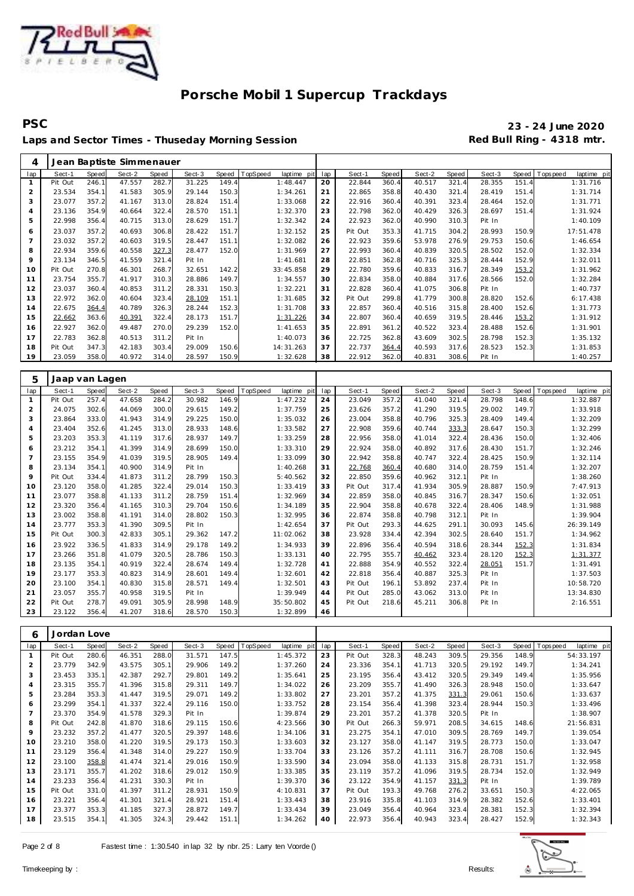

**PSC 23 - 24 June 2020** Laps and Sector Times - Thuseday Morning Session **Red Bull Ring - 4318 mtr.** 

| 4              |                |              | Jean Baptiste Simmenauer |       |        |              |          |             |     |         |       |        |       |        |       |            |             |
|----------------|----------------|--------------|--------------------------|-------|--------|--------------|----------|-------------|-----|---------|-------|--------|-------|--------|-------|------------|-------------|
| lap            | Sect-1         | <b>Speed</b> | Sect-2                   | Speed | Sect-3 | <b>Speed</b> | TopSpeed | laptime pit | lap | Sect-1  | Speed | Sect-2 | Speed | Sect-3 | Speed | T ops peed | laptime pit |
| $\mathbf{1}$   | Pit Out        | 246.1        | 47.557                   | 282.7 | 31.225 | 149.4        |          | 1:48.447    | 20  | 22.844  | 360.4 | 40.517 | 321.4 | 28.355 | 151.4 |            | 1:31.716    |
| $\overline{2}$ | 23.534         | 354.1        | 41.583                   | 305.9 | 29.144 | 150.3        |          | 1:34.261    | 21  | 22.865  | 358.8 | 40.430 | 321.4 | 28.419 | 151.4 |            | 1:31.714    |
| 3              | 23.077         | 357.2        | 41.167                   | 313.0 | 28.824 | 151.4        |          | 1:33.068    | 22  | 22.916  | 360.4 | 40.391 | 323.4 | 28.464 | 152.0 |            | 1:31.771    |
| $\overline{4}$ | 23.136         | 354.9        | 40.664                   | 322.4 | 28.570 | 151.1        |          | 1:32.370    | 23  | 22.798  | 362.0 | 40.429 | 326.3 | 28.697 | 151.4 |            | 1:31.924    |
| 5              | 22.998         | 356.4        | 40.715                   | 313.0 | 28.629 | 151.7        |          | 1:32.342    | 24  | 22.923  | 362.0 | 40.990 | 310.3 | Pit In |       |            | 1:40.109    |
| 6              | 23.037         | 357.2        | 40.693                   | 306.8 | 28.422 | 151.7        |          | 1:32.152    | 25  | Pit Out | 353.3 | 41.715 | 304.2 | 28.993 | 150.9 |            | 17:51.478   |
| $\overline{7}$ | 23.032         | 357.2        | 40.603                   | 319.5 | 28.447 | 151.1        |          | 1:32.082    | 26  | 22.923  | 359.6 | 53.978 | 276.9 | 29.753 | 150.6 |            | 1:46.654    |
| 8              | 22.934         | 359.6        | 40.558                   | 327.3 | 28.477 | 152.0        |          | 1:31.969    | 27  | 22.993  | 360.4 | 40.839 | 320.5 | 28.502 | 152.0 |            | 1:32.334    |
| 9              | 23.134         | 346.5        | 41.559                   | 321.4 | Pit In |              |          | 1:41.681    | 28  | 22.851  | 362.8 | 40.716 | 325.3 | 28.444 | 152.9 |            | 1:32.011    |
| 10             | Pit Out        | 270.8        | 46.301                   | 268.7 | 32.651 | 142.2        |          | 33:45.858   | 29  | 22.780  | 359.6 | 40.833 | 316.7 | 28.349 | 153.2 |            | 1:31.962    |
| 11             | 23.754         | 355.7        | 41.917                   | 310.3 | 28.886 | 149.7        |          | 1:34.557    | 30  | 22.834  | 358.0 | 40.884 | 317.6 | 28.566 | 152.0 |            | 1:32.284    |
| 12             | 23.037         | 360.4        | 40.853                   | 311.2 | 28.331 | 150.3        |          | 1:32.221    | 31  | 22.828  | 360.4 | 41.075 | 306.8 | Pit In |       |            | 1:40.737    |
| 13             | 22.972         | 362.0        | 40.604                   | 323.4 | 28.109 | 151.1        |          | 1:31.685    | 32  | Pit Out | 299.8 | 41.779 | 300.8 | 28.820 | 152.6 |            | 6:17.438    |
| 14             | 22.675         | 364.4        | 40.789                   | 326.3 | 28.244 | 152.3        |          | 1:31.708    | 33  | 22.857  | 360.4 | 40.516 | 315.8 | 28.400 | 152.6 |            | 1:31.773    |
| 15             | 22.662         | 363.6        | 40.391                   | 322.4 | 28.173 | 151.7        |          | 1:31.226    | 34  | 22.807  | 360.4 | 40.659 | 319.5 | 28.446 | 153.2 |            | 1:31.912    |
| 16             | 22.927         | 362.0        | 49.487                   | 270.0 | 29.239 | 152.0        |          | 1:41.653    | 35  | 22.891  | 361.2 | 40.522 | 323.4 | 28.488 | 152.6 |            | 1:31.901    |
| 17             | 22.783         | 362.8        | 40.513                   | 311.2 | Pit In |              |          | 1:40.073    | 36  | 22.725  | 362.8 | 43.609 | 302.5 | 28.798 | 152.3 |            | 1:35.132    |
| 18             | Pit Out        | 347.3        | 42.183                   | 303.4 | 29.009 | 150.6        |          | 14:31.263   | 37  | 22.737  | 364.4 | 40.593 | 317.6 | 28.523 | 152.3 |            | 1:31.853    |
| 19             | 23.059         | 358.0        | 40.972                   | 314.0 | 28.597 | 150.9        |          | 1:32.628    | 38  | 22.912  | 362.0 | 40.831 | 308.6 | Pit In |       |            | 1:40.257    |
|                |                |              |                          |       |        |              |          |             |     |         |       |        |       |        |       |            |             |
| 5              | Jaap van Lagen |              |                          |       |        |              |          |             |     |         |       |        |       |        |       |            |             |
| lap            | Sect-1         | Speed        | Sect-2                   | Speed | Sect-3 | <b>Speed</b> | TopSpeed | laptime pit | lap | Sect-1  | Speed | Sect-2 | Speed | Sect-3 | Speed | T ops peed | laptime pit |
| $\mathbf{1}$   | Pit Out        | 257.4        | 47.658                   | 284.2 | 30.982 | 146.9        |          | 1:47.232    | 24  | 23.049  | 357.2 | 41.040 | 321.4 | 28.798 | 148.6 |            | 1:32.887    |
| $\overline{2}$ | 24.075         | 302.6        | 44.069                   | 300.0 | 29.615 | 149.2        |          | 1:37.759    | 25  | 23.626  | 357.2 | 41.290 | 319.5 | 29.002 | 149.7 |            | 1:33.918    |
| 3              | 23.864         | 333.0        | 41.943                   | 314.9 | 29.225 | 150.0        |          | 1:35.032    | 26  | 23.004  | 358.8 | 40.796 | 325.3 | 28.409 | 149.4 |            | 1:32.209    |
| $\overline{4}$ | 23.404         | 352.6        | 41.245                   | 313.0 | 28.933 | 148.6        |          | 1:33.582    | 27  | 22.908  | 359.6 | 40.744 | 333.3 | 28.647 | 150.3 |            | 1:32.299    |
| 5              | 23.203         | 353.3        | 41.119                   | 317.6 | 28.937 | 149.7        |          | 1:33.259    | 28  | 22.956  | 358.0 | 41.014 | 322.4 | 28.436 | 150.0 |            | 1:32.406    |
| 6              | 23.212         | 354.1        | 41.399                   | 314.9 | 28.699 | 150.0        |          | 1:33.310    | 29  | 22.924  | 358.0 | 40.892 | 317.6 | 28.430 | 151.7 |            | 1:32.246    |
| $\overline{7}$ | 23.155         | 354.9        | 41.039                   | 319.5 | 28.905 | 149.4        |          | 1:33.099    | 30  | 22.942  | 358.8 | 40.747 | 322.4 | 28.425 | 150.9 |            | 1:32.114    |
| 8              | 23.134         | 354.1        | 40.900                   | 314.9 | Pit In |              |          | 1:40.268    | 31  | 22.768  | 360.4 | 40.680 | 314.0 | 28.759 | 151.4 |            | 1:32.207    |
| $\circ$        | Pit Out        | 334.4        | 41.873                   | 311.2 | 28.799 | 150.3        |          | 5:40.562    | 32  | 22.850  | 359.6 | 40.962 | 312.1 | Pit In |       |            | 1:38.260    |

| 9  | Pit Out | 334.4 | 41.873 | 311.2 | 28.799 | 150.3 | 5:40.562  | 32 | 22.850  | 359.6 | 40.962 | 312.1 | Pit In |       | 1:38.260  |
|----|---------|-------|--------|-------|--------|-------|-----------|----|---------|-------|--------|-------|--------|-------|-----------|
| 10 | 23.120  | 358.0 | 41.285 | 322.4 | 29.014 | 150.3 | 1:33.419  | 33 | Pit Out | 317.4 | 41.934 | 305.9 | 28.887 | 150.9 | 7:47.913  |
| 11 | 23.077  | 358.8 | 41.133 | 311.2 | 28.759 | 151.4 | 1:32.969  | 34 | 22.859  | 358.0 | 40.845 | 316.7 | 28.347 | 150.6 | 1:32.051  |
| 12 | 23.320  | 356.4 | 41.165 | 310.3 | 29.704 | 150.6 | 1:34.189  | 35 | 22.904  | 358.8 | 40.678 | 322.4 | 28.406 | 148.9 | 1:31.988  |
| 13 | 23.002  | 358.8 | 41.191 | 314.0 | 28.802 | 150.3 | 1:32.995  | 36 | 22.874  | 358.8 | 40.798 | 312.1 | Pit In |       | 1:39.904  |
| 14 | 23.777  | 353.3 | 41.390 | 309.5 | Pit In |       | 1:42.654  | 37 | Pit Out | 293.3 | 44.625 | 291.1 | 30.093 | 145.6 | 26:39.149 |
| 15 | Pit Out | 300.3 | 42.833 | 305.1 | 29.362 | 147.2 | 11:02.062 | 38 | 23.928  | 334.4 | 42.394 | 302.5 | 28.640 | 151.7 | 1:34.962  |
| 16 | 23.922  | 336.5 | 41.833 | 314.9 | 29.178 | 149.2 | 1:34.933  | 39 | 22.896  | 356.4 | 40.594 | 318.6 | 28.344 | 152.3 | 1:31.834  |
| 17 | 23.266  | 351.8 | 41.079 | 320.5 | 28.786 | 150.3 | 1:33.131  | 40 | 22.795  | 355.7 | 40.462 | 323.4 | 28.120 | 152.3 | 1:31.377  |
| 18 | 23.135  | 354.1 | 40.919 | 322.4 | 28.674 | 149.4 | 1:32.728  | 41 | 22.888  | 354.9 | 40.552 | 322.4 | 28.051 | 151.7 | 1:31.491  |
| 19 | 23.177  | 353.3 | 40.823 | 314.9 | 28.601 | 149.4 | 1:32.601  | 42 | 22.818  | 356.4 | 40.887 | 325.3 | Pit In |       | 1:37.503  |
| 20 | 23.100  | 354.1 | 40.830 | 315.8 | 28.571 | 149.4 | 1:32.501  | 43 | Pit Out | 196.1 | 53.892 | 237.4 | Pit In |       | 10:58.720 |
| 21 | 23.057  | 355.7 | 40.958 | 319.5 | Pit In |       | 1:39.949  | 44 | Pit Out | 285.0 | 43.062 | 313.0 | Pit In |       | 13:34.830 |
| 22 | Pit Out | 278.7 | 49.091 | 305.9 | 28.998 | 148.9 | 35:50.802 | 45 | Pit Out | 218.6 | 45.211 | 306.8 | Pit In |       | 2:16.551  |
| 23 | 23.122  | 356.4 | 41.207 | 318.6 | 28.570 | 150.3 | 1:32.899  | 46 |         |       |        |       |        |       |           |

T

| 6              | Jordan Love |       |        |       |        |       |          |             |     |         |       |        |       |        |       |          |             |
|----------------|-------------|-------|--------|-------|--------|-------|----------|-------------|-----|---------|-------|--------|-------|--------|-------|----------|-------------|
| lap            | Sect-1      | Speed | Sect-2 | Speed | Sect-3 | Speed | TopSpeed | laptime pit | lap | Sect-1  | Speed | Sect-2 | Speed | Sect-3 | Speed | Topspeed | laptime pit |
| 1              | Pit Out     | 280.6 | 46.351 | 288.0 | 31.571 | 147.5 |          | 1:45.372    | 23  | Pit Out | 328.3 | 48.243 | 309.5 | 29.356 | 148.9 |          | 54:33.197   |
| $\overline{a}$ | 23.779      | 342.9 | 43.575 | 305.1 | 29.906 | 149.2 |          | 1:37.260    | 24  | 23.336  | 354.1 | 41.713 | 320.5 | 29.192 | 149.7 |          | 1:34.241    |
| 3              | 23.453      | 335.1 | 42.387 | 292.7 | 29.801 | 149.2 |          | 1:35.641    | 25  | 23.195  | 356.4 | 43.412 | 320.5 | 29.349 | 149.4 |          | 1:35.956    |
| $\overline{4}$ | 23.315      | 355.7 | 41.396 | 315.8 | 29.311 | 149.7 |          | 1:34.022    | 26  | 23.209  | 355.7 | 41.490 | 326.3 | 28.948 | 150.0 |          | 1:33.647    |
| 5              | 23.284      | 353.3 | 41.447 | 319.5 | 29.071 | 149.2 |          | 1:33.802    | 27  | 23.201  | 357.2 | 41.375 | 331.3 | 29.061 | 150.6 |          | 1:33.637    |
| 6              | 23.299      | 354.1 | 41.337 | 322.4 | 29.116 | 150.0 |          | 1:33.752    | 28  | 23.154  | 356.4 | 41.398 | 323.4 | 28.944 | 150.3 |          | 1:33.496    |
| $\overline{7}$ | 23.370      | 354.9 | 41.578 | 329.3 | Pit In |       |          | 1:39.874    | 29  | 23.201  | 357.2 | 41.378 | 320.5 | Pit In |       |          | 1:38.907    |
| 8              | Pit Out     | 242.8 | 41.870 | 318.6 | 29.115 | 150.6 |          | 4:23.566    | 30  | Pit Out | 266.3 | 59.971 | 208.5 | 34.615 | 148.6 |          | 21:56.831   |
| 9              | 23.232      | 357.2 | 41.477 | 320.5 | 29.397 | 148.6 |          | 1:34.106    | 31  | 23.275  | 354.1 | 47.010 | 309.5 | 28.769 | 149.7 |          | 1:39.054    |
| 10             | 23.210      | 358.0 | 41.220 | 319.5 | 29.173 | 150.3 |          | 1:33.603    | 32  | 23.127  | 358.0 | 41.147 | 319.5 | 28.773 | 150.0 |          | 1:33.047    |
| 11             | 23.129      | 356.4 | 41.348 | 314.0 | 29.227 | 150.9 |          | 1:33.704    | 33  | 23.126  | 357.2 | 41.111 | 316.7 | 28.708 | 150.6 |          | 1:32.945    |
| 12             | 23.100      | 358.8 | 41.474 | 321.4 | 29.016 | 150.9 |          | 1:33.590    | 34  | 23.094  | 358.0 | 41.133 | 315.8 | 28.731 | 151.7 |          | 1:32.958    |
| 13             | 23.171      | 355.7 | 41.202 | 318.6 | 29.012 | 150.9 |          | 1:33.385    | 35  | 23.119  | 357.2 | 41.096 | 319.5 | 28.734 | 152.0 |          | 1:32.949    |
| 14             | 23.233      | 356.4 | 41.231 | 330.3 | Pit In |       |          | 1:39.370    | 36  | 23.122  | 354.9 | 41.157 | 331.3 | Pit In |       |          | 1:39.789    |
| 15             | Pit Out     | 331.0 | 41.397 | 311.2 | 28.931 | 150.9 |          | 4:10.831    | 37  | Pit Out | 193.3 | 49.768 | 276.2 | 33.651 | 150.3 |          | 4:22.065    |
| 16             | 23.221      | 356.4 | 41.301 | 321.4 | 28.921 | 151.4 |          | 1:33.443    | 38  | 23.916  | 335.8 | 41.103 | 314.9 | 28.382 | 152.6 |          | 1:33.401    |
| 17             | 23.377      | 353.3 | 41.185 | 327.3 | 28.872 | 149.7 |          | 1:33.434    | 39  | 23.049  | 356.4 | 40.964 | 323.4 | 28.381 | 152.3 |          | 1:32.394    |
| 18             | 23.515      | 354.1 | 41.305 | 324.3 | 29.442 | 151.1 |          | 1:34.262    | 40  | 22.973  | 356.4 | 40.943 | 323.4 | 28.427 | 152.9 |          | 1:32.343    |

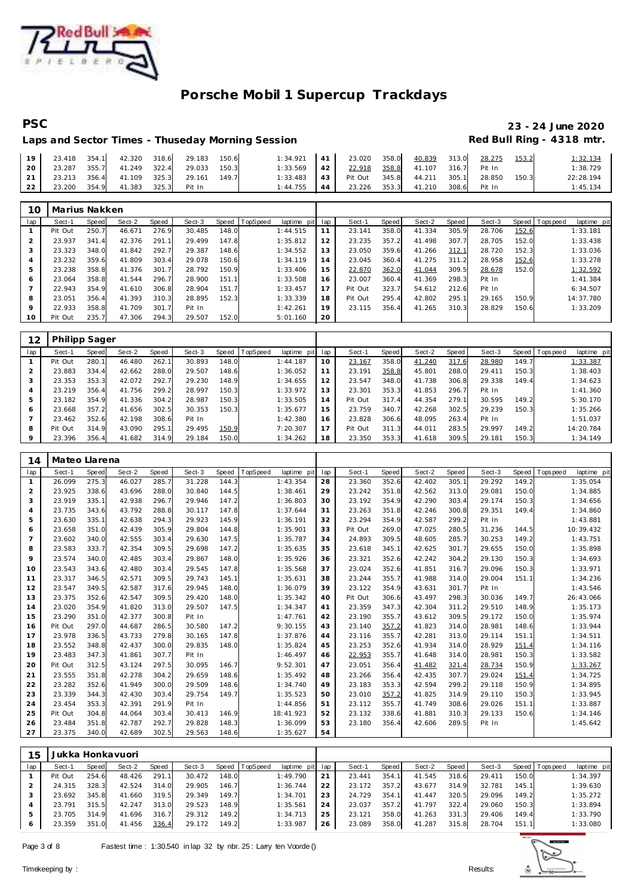

# PSC 23 - 24 June 2020<br>Laps and Sector Times - Thuseday Morning Session **1998 2009** Red Bull Ring - 4318 mtr.

## Laps and Sector Times - Thuseday Morning Session

| 19 |  | 23.418 354.1 42.320 318.6 29.183 150.6      |  | $1:34.921$ 41 23.020 358.0 40.839 313.0 28.275 |                                              |  |  | 153.2 | 1:32.134  |
|----|--|---------------------------------------------|--|------------------------------------------------|----------------------------------------------|--|--|-------|-----------|
|    |  | 20   23.287 355.7 41.249 322.4 29.033 150.3 |  | 1:33.569 42 22.918 358.8 41.107 316.7 Pit In   |                                              |  |  |       | 1:38.729  |
|    |  | 21 23.213 356.4 41.109 325.3 29.161 149.7   |  | 1:33.483 43 Pit Out 345.8 44.211 305.1 28.850  |                                              |  |  | 150.3 | 22:28.194 |
|    |  | 22 23.200 354.9 41.383 325.3 Pit In         |  |                                                | 1:44.755 44 23.226 353.3 41.210 308.6 Pit In |  |  |       | 1:45.134  |

| 1C             | Marius Nakken |            |        |       |        |       |                  |             |     |         |       |        |       |        |       |                |             |
|----------------|---------------|------------|--------|-------|--------|-------|------------------|-------------|-----|---------|-------|--------|-------|--------|-------|----------------|-------------|
| lap            | Sect-1        | Speed      | Sect-2 | Speed | Sect-3 |       | Speed   TopSpeed | laptime pit | lap | Sect-1  | Speed | Sect-2 | Speed | Sect-3 |       | Speed Topspeed | laptime pit |
|                | Pit Out       | 250.7      | 46.671 | 276.9 | 30.485 | 148.0 |                  | 1:44.515    | 11  | 23.141  | 358.0 | 41.334 | 305.9 | 28.706 | 152.6 |                | 1:33.181    |
| 2              | 23.937        | 341<br>.41 | 42.376 | 291.1 | 29.499 | 147.8 |                  | 1:35.812    | 12  | 23.235  | 357.2 | 41.498 | 307.7 | 28.705 | 152.0 |                | 1:33.438    |
| 3              | 23.323        | 348.0      | 41.842 | 292.7 | 29.387 | 148.6 |                  | 1:34.552    | 13  | 23.050  | 359.6 | 41.266 | 312.1 | 28.720 | 152.3 |                | 1:33.036    |
| $\overline{4}$ | 23.232        | 359.6      | 41.809 | 303.4 | 29.078 | 150.6 |                  | 1:34.119    | 14  | 23.045  | 360.4 | 41.275 | 311.2 | 28.958 | 152.6 |                | 1:33.278    |
| 5              | 23.238        | 358.8      | 41.376 | 301.7 | 28.792 | 150.9 |                  | 1:33.406    | 15  | 22.870  | 362.0 | 41.044 | 309.5 | 28.678 | 152.0 |                | 1:32.592    |
| 6              | 23.064        | 358.8      | 41.544 | 296.7 | 28.900 | 151.1 |                  | 1:33.508    | 16  | 23.007  | 360.4 | 41.369 | 298.3 | Pit In |       |                | 1:41.384    |
| $\overline{7}$ | 22.943        | 354.9      | 41.610 | 306.8 | 28.904 | 151.7 |                  | 1:33.457    | 17  | Pit Out | 323.7 | 54.612 | 212.6 | Pit In |       |                | 6:34.507    |
| 8              | 23.051        | 356.4      | 41.393 | 310.3 | 28.895 | 152.3 |                  | 1:33.339    | 18  | Pit Out | 295.4 | 42.802 | 295.1 | 29.165 | 150.9 |                | 14:37.780   |
| 9              | 22.933        | 358.8      | 41.709 | 301.7 | Pit In |       |                  | 1:42.261    | 19  | 23.115  | 356.4 | 41.265 | 310.3 | 28.829 | 150.6 |                | 1:33.209    |
| 10             | Pit Out       | 235.7      | 47.306 | 294.3 | 29.507 | 152.0 |                  | 5:01.160    | 20  |         |       |        |       |        |       |                |             |

| 12  | <b>Philipp Sager</b> |       |        |       |        |       |                 |             |     |         |       |        |       |        |       |            |             |
|-----|----------------------|-------|--------|-------|--------|-------|-----------------|-------------|-----|---------|-------|--------|-------|--------|-------|------------|-------------|
| lap | Sect-1               | Speed | Sect-2 | Speed | Sect-3 | Speed | <b>TopSpeed</b> | laptime pit | lap | Sect-1  | Speed | Sect-2 | Speed | Sect-3 | Speed | T ops peed | laptime pit |
|     | Pit Out              | 280.1 | 46.480 | 262.1 | 30.893 | 148.0 |                 | 1:44.187    | 10  | 23.167  | 358.0 | 41.240 | 317.6 | 28.980 | 149.7 |            | 1:33.387    |
|     | 23.883               | 334.4 | 42.662 | 288.0 | 29.507 | 148.6 |                 | 1:36.052    | 11  | 23.191  | 358.8 | 45.801 | 288.0 | 29.411 | 150.3 |            | 1:38.403    |
|     | 23.353               | 353.3 | 42.072 | 292.7 | 29.230 | 148.9 |                 | 1:34.655    | 12  | 23.547  | 348.0 | 41.738 | 306.8 | 29.338 | 149.4 |            | 1:34.623    |
| 4   | 23.219               | 356.4 | 41.756 | 299.2 | 28.997 | 150.3 |                 | 1:33.972    | 13  | 23.301  | 353.3 | 41.853 | 296.7 | Pit In |       |            | 1:41.360    |
| 5   | 23.182               | 354.9 | 41.336 | 304.2 | 28.987 | 150.3 |                 | 1:33.505    | 14  | Pit Out | 317.4 | 44.354 | 279.1 | 30.595 | 149.2 |            | 5:30.170    |
| O   | 23.668               | 357.2 | 41.656 | 302.5 | 30.353 | 150.3 |                 | 1:35.677    | 15  | 23.759  | 340.7 | 42.268 | 302.5 | 29.239 | 150.3 |            | 1:35.266    |
|     | 23.462               | 352.6 | 42.198 | 308.6 | Pit In |       |                 | 1:42.380    | 16  | 23.828  | 306.6 | 48.095 | 263.4 | Pit In |       |            | 1:51.037    |
| 8   | Pit Out              | 314.9 | 43.090 | 295.1 | 29.495 | 150.9 |                 | 7:20.307    | 17  | Pit Out | 311.3 | 44.011 | 283.5 | 29.997 | 149.2 |            | 14:20.784   |
| 9   | 23.396               | 356.4 | 41.682 | 314.9 | 29.184 | 150.0 |                 | 1:34.262    | 18  | 23.350  | 353.3 | 41.618 | 309.5 | 29.181 | 150.3 |            | 1:34.149    |

| 14             | Mateo Llarena |       |        |       |        |              |          |             |     |         |       |        |       |        |              |            |             |
|----------------|---------------|-------|--------|-------|--------|--------------|----------|-------------|-----|---------|-------|--------|-------|--------|--------------|------------|-------------|
| lap            | Sect-1        | Speed | Sect-2 | Speed | Sect-3 | <b>Speed</b> | TopSpeed | laptime pit | lap | Sect-1  | Speed | Sect-2 | Speed | Sect-3 | <b>Speed</b> | Tops pee d | laptime pit |
| $\mathbf{1}$   | 26.099        | 275.3 | 46.027 | 285.7 | 31.228 | 144.3        |          | 1:43.354    | 28  | 23.360  | 352.6 | 42.402 | 305.1 | 29.292 | 149.2        |            | 1:35.054    |
| 2              | 23.925        | 338.6 | 43.696 | 288.0 | 30.840 | 144.5        |          | 1:38.461    | 29  | 23.242  | 351.8 | 42.562 | 313.0 | 29.081 | 150.0        |            | 1:34.885    |
| 3              | 23.919        | 335.1 | 42.938 | 296.7 | 29.946 | 147.2        |          | 1:36.803    | 30  | 23.192  | 354.9 | 42.290 | 303.4 | 29.174 | 150.3        |            | 1:34.656    |
| $\overline{4}$ | 23.735        | 343.6 | 43.792 | 288.8 | 30.117 | 147.8        |          | 1:37.644    | 31  | 23.263  | 351.8 | 42.246 | 300.8 | 29.351 | 149.4        |            | 1:34.860    |
| 5              | 23.630        | 335.1 | 42.638 | 294.3 | 29.923 | 145.9        |          | 1:36.191    | 32  | 23.294  | 354.9 | 42.587 | 299.2 | Pit In |              |            | 1:43.881    |
| 6              | 23.658        | 351.0 | 42.439 | 305.9 | 29.804 | 144.8        |          | 1:35.901    | 33  | Pit Out | 269.0 | 47.025 | 280.5 | 31.236 | 144.5        |            | 10:39.432   |
| $\overline{7}$ | 23.602        | 340.0 | 42.555 | 303.4 | 29.630 | 147.5        |          | 1:35.787    | 34  | 24.893  | 309.5 | 48.605 | 285.7 | 30.253 | 149.2        |            | 1:43.751    |
| 8              | 23.583        | 333.7 | 42.354 | 309.5 | 29.698 | 147.2        |          | 1:35.635    | 35  | 23.618  | 345.1 | 42.625 | 301.7 | 29.655 | 150.0        |            | 1:35.898    |
| 9              | 23.574        | 340.0 | 42.485 | 303.4 | 29.867 | 148.0        |          | 1:35.926    | 36  | 23.321  | 352.6 | 42.242 | 304.2 | 29.130 | 150.3        |            | 1:34.693    |
| 10             | 23.543        | 343.6 | 42.480 | 303.4 | 29.545 | 147.8        |          | 1:35.568    | 37  | 23.024  | 352.6 | 41.851 | 316.7 | 29.096 | 150.3        |            | 1:33.971    |
| 11             | 23.317        | 346.5 | 42.571 | 309.5 | 29.743 | 145.1        |          | 1:35.631    | 38  | 23.244  | 355.7 | 41.988 | 314.0 | 29.004 | 151.1        |            | 1:34.236    |
| 12             | 23.547        | 349.5 | 42.587 | 317.6 | 29.945 | 148.0        |          | 1:36.079    | 39  | 23.122  | 354.9 | 43.631 | 301.7 | Pit In |              |            | 1:43.546    |
| 13             | 23.375        | 352.6 | 42.547 | 309.5 | 29.420 | 148.0        |          | 1:35.342    | 40  | Pit Out | 306.6 | 43.497 | 298.3 | 30.036 | 149.7        |            | 26:43.066   |
| 14             | 23.020        | 354.9 | 41.820 | 313.0 | 29.507 | 147.5        |          | 1:34.347    | 41  | 23.359  | 347.3 | 42.304 | 311.2 | 29.510 | 148.9        |            | 1:35.173    |
| 15             | 23.290        | 351.0 | 42.377 | 300.8 | Pit In |              |          | 1:47.761    | 42  | 23.190  | 355.7 | 43.612 | 309.5 | 29.172 | 150.0        |            | 1:35.974    |
| 16             | Pit Out       | 297.0 | 44.687 | 286.5 | 30.580 | 147.2        |          | 9:30.155    | 43  | 23.140  | 357.2 | 41.823 | 314.0 | 28.981 | 148.6        |            | 1:33.944    |
| 17             | 23.978        | 336.5 | 43.733 | 279.8 | 30.165 | 147.8        |          | 1:37.876    | 44  | 23.116  | 355.7 | 42.281 | 313.0 | 29.114 | 151.1        |            | 1:34.511    |
| 18             | 23.552        | 348.8 | 42.437 | 300.0 | 29.835 | 148.0        |          | 1:35.824    | 45  | 23.253  | 352.6 | 41.934 | 314.0 | 28.929 | 151.4        |            | 1:34.116    |
| 19             | 23.483        | 347.3 | 41.861 | 307.7 | Pit In |              |          | 1:46.497    | 46  | 22.953  | 355.7 | 41.648 | 314.0 | 28.981 | 150.3        |            | 1:33.582    |
| 20             | Pit Out       | 312.5 | 43.124 | 297.5 | 30.095 | 146.7        |          | 9:52.301    | 47  | 23.051  | 356.4 | 41.482 | 321.4 | 28.734 | 150.9        |            | 1:33.267    |
| 21             | 23.555        | 351.8 | 42.278 | 304.2 | 29.659 | 148.6        |          | 1:35.492    | 48  | 23.266  | 356.4 | 42.435 | 307.7 | 29.024 | 151.4        |            | 1:34.725    |
| 22             | 23.282        | 352.6 | 41.949 | 300.0 | 29.509 | 148.6        |          | 1:34.740    | 49  | 23.183  | 353.3 | 42.594 | 299.2 | 29.118 | 150.9        |            | 1:34.895    |
| 23             | 23.339        | 344.3 | 42.430 | 303.4 | 29.754 | 149.7        |          | 1:35.523    | 50  | 23.010  | 357.2 | 41.825 | 314.9 | 29.110 | 150.3        |            | 1:33.945    |
| 24             | 23.454        | 353.3 | 42.391 | 291.9 | Pit In |              |          | 1:44.856    | 51  | 23.112  | 355.7 | 41.749 | 308.6 | 29.026 | 151.1        |            | 1:33.887    |
| 25             | Pit Out       | 304.8 | 44.064 | 303.4 | 30.413 | 146.9        |          | 18:41.923   | 52  | 23.132  | 338.6 | 41.881 | 310.3 | 29.133 | 150.6        |            | 1:34.146    |
| 26             | 23.484        | 351.8 | 42.787 | 292.7 | 29.828 | 148.3        |          | 1:36.099    | 53  | 23.180  | 356.4 | 42.606 | 289.5 | Pit In |              |            | 1:45.642    |
| 27             | 23.375        | 340.0 | 42.689 | 302.5 | 29.563 | 148.6        |          | 1:35.627    | 54  |         |       |        |       |        |              |            |             |

| 15  | Jukka Honkavuori |       |        |       |        |       |                |                 |    |        |       |        |       |        |       |                |             |
|-----|------------------|-------|--------|-------|--------|-------|----------------|-----------------|----|--------|-------|--------|-------|--------|-------|----------------|-------------|
| lap | Sect-1           | Speed | Sect-2 | Speed | Sect-3 |       | Speed TopSpeed | laptime pit lap |    | Sect-1 | Speed | Sect-2 | Speed | Sect-3 |       | Speed Topspeed | laptime pit |
|     | Pit Out          | 254.6 | 48.426 | 291.1 | 30.472 | 148.0 |                | 1:49.790        | 21 | 23.441 | 354.1 | 41.545 | 318.6 | 29.411 | 150.0 |                | 1:34.397    |
|     | 24.315           | 328.3 | 42.524 | 314.0 | 29.905 | 146.7 |                | 1:36.744        | 22 | 23.172 | 357.2 | 43.677 | 314.9 | 32.781 | 145.1 |                | 1:39.630    |
|     | 23.692           | 345.8 | 41.660 | 319.5 | 29.349 | 149.7 |                | 1:34.701        | 23 | 24.729 | 354.1 | 41.447 | 320.5 | 29.096 | 149.2 |                | 1:35.272    |
|     | 23.791           | 315.5 | 42.247 | 313.0 | 29.523 | 148.9 |                | 1:35.561        | 24 | 23.037 | 357.2 | 41.797 | 322.4 | 29.060 | 150.3 |                | 1:33.894    |
|     | 23.705           | 314.9 | 41.696 | 316.7 | 29.312 | 149.2 |                | 1:34.713        | 25 | 23.121 | 358.0 | 41.263 | 331.3 | 29.406 | 149.4 |                | 1:33.790    |
|     | 23.359           | 351.0 | 41.456 | 336.4 | 29.172 | 149.2 |                | 1:33.987        | 26 | 23.089 | 358.0 | 41.287 | 315.8 | 28.704 | 151.1 |                | 1:33.080    |

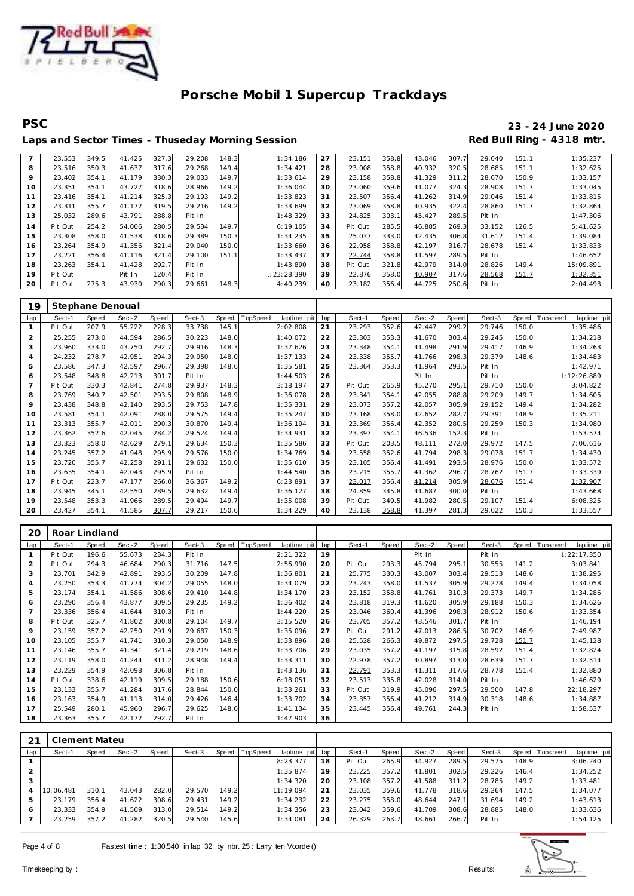

## **PSC 23 - 24 June 2020** Laps and Sector Times - Thuseday Morning Session **Red Bull Ring - 4318 mtr.**

| $\overline{7}$ | 23.553  | 349.5 | 41.425 | 327.3 | 29.208 | 148.3 | 1:34.186    | 27 | 23.151  | 358.8 | 43.046 | 307.7 | 29.040 | 151.1 | 1:35.237  |
|----------------|---------|-------|--------|-------|--------|-------|-------------|----|---------|-------|--------|-------|--------|-------|-----------|
| 8              | 23.516  | 350.3 | 41.637 | 317.6 | 29.268 | 149.4 | 1:34.421    | 28 | 23.008  | 358.8 | 40.932 | 320.5 | 28.685 | 151.1 | 1:32.625  |
| 9              | 23.402  | 354.1 | 41.179 | 330.3 | 29.033 | 149.7 | 1:33.614    | 29 | 23.158  | 358.8 | 41.329 | 311.2 | 28.670 | 150.9 | 1:33.157  |
| 10             | 23.351  | 354.1 | 43.727 | 318.6 | 28.966 | 149.2 | 1:36.044    | 30 | 23.060  | 359.6 | 41.077 | 324.3 | 28.908 | 151.7 | 1:33.045  |
|                | 23.416  | 354.1 | 41.214 | 325.3 | 29.193 | 149.2 | 1:33.823    | 31 | 23.507  | 356.4 | 41.262 | 314.9 | 29.046 | 151.4 | 1:33.815  |
| 12             | 23.311  | 355.7 | 41.172 | 319.5 | 29.216 | 149.2 | 1:33.699    | 32 | 23.069  | 358.8 | 40.935 | 322.4 | 28.860 | 151.7 | 1:32.864  |
| 13             | 25.032  | 289.6 | 43.791 | 288.8 | Pit In |       | 1:48.329    | 33 | 24.825  | 303.1 | 45.427 | 289.5 | Pit In |       | 1:47.306  |
| 14             | Pit Out | 254.2 | 54.006 | 280.5 | 29.534 | 149.7 | 6:19.105    | 34 | Pit Out | 285.5 | 46.885 | 269.3 | 33.152 | 126.5 | 5:41.625  |
| 15             | 23.308  | 358.0 | 41.538 | 318.6 | 29.389 | 150.3 | 1:34.235    | 35 | 25.037  | 333.0 | 42.435 | 306.8 | 31.612 | 151.4 | 1:39.084  |
| 16             | 23.264  | 354.9 | 41.356 | 321.4 | 29.040 | 150.0 | 1:33.660    | 36 | 22.958  | 358.8 | 42.197 | 316.7 | 28.678 | 151.4 | 1:33.833  |
| 17             | 23.221  | 356.4 | 41.116 | 321.4 | 29.100 | 151.1 | 1:33.437    | 37 | 22.744  | 358.8 | 41.597 | 289.5 | Pit In |       | 1:46.652  |
| 18             | 23.263  | 354.1 | 41.428 | 292.7 | Pit In |       | 1:43.890    | 38 | Pit Out | 321.8 | 42.979 | 314.0 | 28.826 | 149.4 | 15:09.891 |
| 19             | Pit Out |       | Pit In | 120.4 | Pit In |       | 1:23:28.390 | 39 | 22.876  | 358.0 | 40.907 | 317.6 | 28.568 | 151.7 | 1:32.351  |
| 20             | Pit Out | 275.3 | 43.930 | 290.3 | 29.661 | 148.3 | 4:40.239    | 40 | 23.182  | 356.4 | 44.725 | 250.6 | Pit In |       | 2:04.493  |
|                |         |       |        |       |        |       |             |    |         |       |        |       |        |       |           |

| 19  |         |       | Stephane Denoual |       |        |       |          |             |     |         |       |        |       |        |       |          |             |
|-----|---------|-------|------------------|-------|--------|-------|----------|-------------|-----|---------|-------|--------|-------|--------|-------|----------|-------------|
| lap | Sect-1  | Speed | Sect-2           | Speed | Sect-3 | Speed | TopSpeed | laptime pit | lap | Sect-1  | Speed | Sect-2 | Speed | Sect-3 | Speed | Topspeed | laptime pit |
|     | Pit Out | 207.9 | 55.222           | 228.3 | 33.738 | 145.1 |          | 2:02.808    | 21  | 23.293  | 352.6 | 42.447 | 299.2 | 29.746 | 150.0 |          | 1:35.486    |
| 2   | 25.255  | 273.0 | 44.594           | 286.5 | 30.223 | 148.0 |          | 1:40.072    | 22  | 23.303  | 353.3 | 41.670 | 303.4 | 29.245 | 150.0 |          | 1:34.218    |
| 3   | 23.960  | 333.0 | 43.750           | 292.7 | 29.916 | 148.3 |          | 1:37.626    | 23  | 23.348  | 354.1 | 41.498 | 291.9 | 29.417 | 146.9 |          | 1:34.263    |
| 4   | 24.232  | 278.7 | 42.951           | 294.3 | 29.950 | 148.0 |          | 1:37.133    | 24  | 23.338  | 355.7 | 41.766 | 298.3 | 29.379 | 148.6 |          | 1:34.483    |
| 5   | 23.586  | 347.3 | 42.597           | 296.7 | 29.398 | 148.6 |          | 1:35.581    | 25  | 23.364  | 353.3 | 41.964 | 293.5 | Pit In |       |          | 1:42.971    |
| 6   | 23.548  | 348.8 | 42.213           | 301.7 | Pit In |       |          | 1:44.503    | 26  |         |       | Pit In |       | Pit In |       |          | 1:12:26.889 |
| 7   | Pit Out | 330.3 | 42.841           | 274.8 | 29.937 | 148.3 |          | 3:18.197    | 27  | Pit Out | 265.9 | 45.270 | 295.1 | 29.710 | 150.0 |          | 3:04.822    |
| 8   | 23.769  | 340.7 | 42.501           | 293.5 | 29.808 | 148.9 |          | 1:36.078    | 28  | 23.341  | 354.1 | 42.055 | 288.8 | 29.209 | 149.7 |          | 1:34.605    |
| 9   | 23.438  | 348.8 | 42.140           | 293.5 | 29.753 | 147.8 |          | 1:35.331    | 29  | 23.073  | 357.2 | 42.057 | 305.9 | 29.152 | 149.4 |          | 1:34.282    |
| 10  | 23.581  | 354.1 | 42.091           | 288.0 | 29.575 | 149.4 |          | 1:35.247    | 30  | 23.168  | 358.0 | 42.652 | 282.7 | 29.391 | 148.9 |          | 1:35.211    |
| 11  | 23.313  | 355.7 | 42.011           | 290.3 | 30.870 | 149.4 |          | 1:36.194    | 31  | 23.369  | 356.4 | 42.352 | 280.5 | 29.259 | 150.3 |          | 1:34.980    |
| 12  | 23.362  | 352.6 | 42.045           | 284.2 | 29.524 | 149.4 |          | 1:34.931    | 32  | 23.397  | 354.1 | 46.536 | 152.3 | Pit In |       |          | 1:53.574    |
| 13  | 23.323  | 358.0 | 42.629           | 279.1 | 29.634 | 150.3 |          | 1:35.586    | 33  | Pit Out | 203.5 | 48.111 | 272.0 | 29.972 | 147.5 |          | 7:06.616    |
| 14  | 23.245  | 357.2 | 41.948           | 295.9 | 29.576 | 150.0 |          | 1:34.769    | 34  | 23.558  | 352.6 | 41.794 | 298.3 | 29.078 | 151.7 |          | 1:34.430    |
| 15  | 23.720  | 355.7 | 42.258           | 291.1 | 29.632 | 150.0 |          | 1:35.610    | 35  | 23.105  | 356.4 | 41.491 | 293.5 | 28.976 | 150.0 |          | 1:33.572    |
| 16  | 23.635  | 354.1 | 42.043           | 295.9 | Pit In |       |          | 1:44.540    | 36  | 23.215  | 355.7 | 41.362 | 296.7 | 28.762 | 151.7 |          | 1:33.339    |
| 17  | Pit Out | 223.7 | 47.177           | 266.0 | 36.367 | 149.2 |          | 6:23.891    | 37  | 23.017  | 356.4 | 41.214 | 305.9 | 28.676 | 151.4 |          | 1:32.907    |
| 18  | 23.945  | 345.1 | 42.550           | 289.5 | 29.632 | 149.4 |          | 1:36.127    | 38  | 24.859  | 345.8 | 41.687 | 300.0 | Pit In |       |          | 1:43.668    |
| 19  | 23.548  | 353.3 | 41.966           | 289.5 | 29.494 | 149.7 |          | 1:35.008    | 39  | Pit Out | 349.5 | 41.982 | 280.5 | 29.107 | 151.4 |          | 6:08.325    |
| 20  | 23.427  | 354.1 | 41.585           | 307.7 | 29.217 | 150.6 |          | 1:34.229    | 40  | 23.138  | 358.8 | 41.397 | 281.3 | 29.022 | 150.3 |          | 1:33.557    |

| 20             | Roar Lindland |       |        |              |        |       |                 |             |     |         |       |        |       |        |       |                  |             |
|----------------|---------------|-------|--------|--------------|--------|-------|-----------------|-------------|-----|---------|-------|--------|-------|--------|-------|------------------|-------------|
| lap            | Sect-1        | Speed | Sect-2 | <b>Speed</b> | Sect-3 | Speed | <b>TopSpeed</b> | laptime pit | lap | Sect-1  | Speed | Sect-2 | Speed | Sect-3 |       | Speed   Topspeed | laptime pit |
|                | Pit Out       | 196.6 | 55.673 | 234.3        | Pit In |       |                 | 2: 21.322   | 19  |         |       | Pit In |       | Pit In |       |                  | 1:22:17.350 |
| $\overline{2}$ | Pit Out       | 294.3 | 46.684 | 290.3        | 31.716 | 147.5 |                 | 2:56.990    | 20  | Pit Out | 293.3 | 45.794 | 295.1 | 30.555 | 141.2 |                  | 3:03.841    |
| 3              | 23.701        | 342.9 | 42.891 | 293.5        | 30.209 | 147.8 |                 | 1:36.801    | 21  | 25.775  | 330.3 | 43.007 | 303.4 | 29.513 | 148.6 |                  | 1:38.295    |
| $\overline{4}$ | 23.250        | 353.3 | 41.774 | 304.2        | 29.055 | 148.0 |                 | 1:34.079    | 22  | 23.243  | 358.0 | 41.537 | 305.9 | 29.278 | 149.4 |                  | 1:34.058    |
| 5              | 23.174        | 354.1 | 41.586 | 308.6        | 29.410 | 144.8 |                 | 1:34.170    | 23  | 23.152  | 358.8 | 41.761 | 310.3 | 29.373 | 149.7 |                  | 1:34.286    |
| 6              | 23.290        | 356.4 | 43.877 | 309.5        | 29.235 | 149.2 |                 | 1:36.402    | 24  | 23.818  | 319.3 | 41.620 | 305.9 | 29.188 | 150.3 |                  | 1:34.626    |
|                | 23.336        | 356.4 | 41.644 | 310.3        | Pit In |       |                 | 1:44.220    | 25  | 23.046  | 360.4 | 41.396 | 298.3 | 28.912 | 150.6 |                  | 1:33.354    |
| 8              | Pit Out       | 325.7 | 41.802 | 300.8        | 29.104 | 149.7 |                 | 3:15.520    | 26  | 23.705  | 357.2 | 43.546 | 301.7 | Pit In |       |                  | 1:46.194    |
| 9              | 23.159        | 357.2 | 42.250 | 291.9        | 29.687 | 150.3 |                 | 1:35.096    | 27  | Pit Out | 291.2 | 47.013 | 286.5 | 30.702 | 146.9 |                  | 7:49.987    |
| 10             | 23.105        | 355.7 | 41.741 | 310.3        | 29.050 | 148.9 |                 | 1:33.896    | 28  | 25.528  | 266.3 | 49.872 | 297.5 | 29.728 | 151.7 |                  | 1:45.128    |
| 11             | 23.146        | 355.7 | 41.341 | 321.4        | 29.219 | 148.6 |                 | 1:33.706    | 29  | 23.035  | 357.2 | 41.197 | 315.8 | 28.592 | 151.4 |                  | 1:32.824    |
| 12             | 23.119        | 358.0 | 41.244 | 311.2        | 28.948 | 149.4 |                 | 1:33.311    | 30  | 22.978  | 357.2 | 40.897 | 313.0 | 28.639 | 151.7 |                  | 1:32.514    |
| 13             | 23.229        | 354.9 | 42.098 | 306.8        | Pit In |       |                 | 1:43.136    | 31  | 22.791  | 353.3 | 41.311 | 317.6 | 28.778 | 151.4 |                  | 1:32.880    |
| 14             | Pit Out       | 338.6 | 42.119 | 309.5        | 29.188 | 150.6 |                 | 6:18.051    | 32  | 23.513  | 335.8 | 42.028 | 314.0 | Pit In |       |                  | 1:46.629    |
| 15             | 23.133        | 355.7 | 41.284 | 317.6        | 28.844 | 150.0 |                 | 1:33.261    | 33  | Pit Out | 319.9 | 45.096 | 297.5 | 29.500 | 147.8 |                  | 22:18.297   |
| 16             | 23.163        | 354.9 | 41.113 | 314.0        | 29.426 | 146.4 |                 | 1:33.702    | 34  | 23.357  | 356.4 | 41.212 | 314.9 | 30.318 | 148.6 |                  | 1:34.887    |
| 17             | 25.549        | 280.1 | 45.960 | 296.7        | 29.625 | 148.0 |                 | 1:41.134    | 35  | 23.445  | 356.4 | 49.761 | 244.3 | Pit In |       |                  | 1:58.537    |
| 18             | 23.363        | 355.7 | 42.172 | 292.7        | Pit In |       |                 | 1:47.903    | 36  |         |       |        |       |        |       |                  |             |

| 21             | Clement Mateu |       |        |       |        |       |                  |             |     |         |       |        |           |        |       |                 |             |
|----------------|---------------|-------|--------|-------|--------|-------|------------------|-------------|-----|---------|-------|--------|-----------|--------|-------|-----------------|-------------|
| lap            | Sect-1        | Speed | Sect-2 | Speed | Sect-3 |       | Speed   TopSpeed | laptime pit | lap | Sect-1  | Speed | Sect-2 | Speed     | Sect-3 |       | Speed Tops peed | laptime pit |
|                |               |       |        |       |        |       |                  | 8:23.377    | 18  | Pit Out | 265.9 | 44.927 | 289.5     | 29.575 | 148.9 |                 | 3:06.240    |
| $\mathcal{P}$  |               |       |        |       |        |       |                  | 1:35.874    | 19  | 23.225  | 357.2 | 41.801 | 302.5     | 29.226 | 146.4 |                 | 1:34.252    |
| 3              |               |       |        |       |        |       |                  | 1:34.320    | 20  | 23.108  | 357.2 | 41.588 | 311<br>.2 | 28.785 | 149.2 |                 | 1:33.481    |
| $\overline{4}$ | 10:06.481     | 310.1 | 43.043 | 282.0 | 29.570 | 149.2 |                  | 11:19.094   | 21  | 23.035  | 359.6 | 41.778 | 318.6     | 29.264 | 147.5 |                 | 1:34.077    |
|                | 23.179        | 356.4 | 41.622 | 308.6 | 29.431 | 149.2 |                  | 1:34.232    | 22  | 23.275  | 358.0 | 48.644 | 247.1     | 31.694 | 149.2 |                 | 1:43.613    |
| 6              | 23.333        | 354.9 | 41.509 | 313.0 | 29.514 | 149.2 |                  | 1:34.356    | 23  | 23.042  | 359.6 | 41.709 | 308.6     | 28.885 | 148.0 |                 | 1:33.636    |
|                | 23.259        | 357.2 | 41.282 | 320.5 | 29.540 | 145.6 |                  | 1:34.081    | 24  | 26.329  | 263.7 | 48.661 | 266.7     | Pit In |       |                 | 1:54.125    |

 $\overline{1}$ 

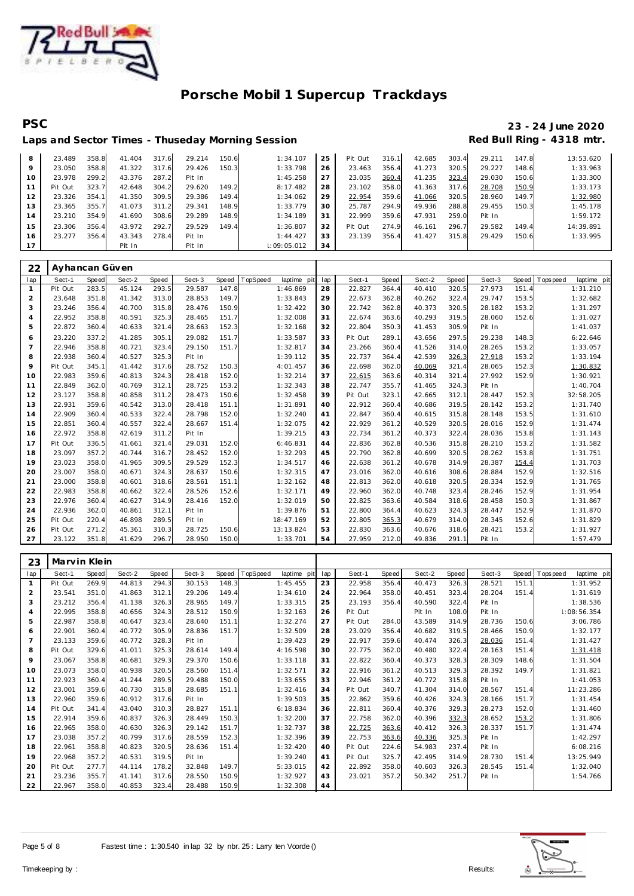

# **PSC 23 - 24 June 2020**

|    |         |       |        |       |        |       | Laps and Sector Times - Thuseday Morning Session |    |         |       |        |       |        |       | Red Bull Ring - 4318 mtr. |
|----|---------|-------|--------|-------|--------|-------|--------------------------------------------------|----|---------|-------|--------|-------|--------|-------|---------------------------|
| 8  | 23.489  | 358.8 | 41.404 | 317.6 | 29.214 | 150.6 | 1:34.107                                         | 25 | Pit Out | 316.1 | 42.685 | 303.4 | 29.211 | 147.8 | 13:53.620                 |
| 9  | 23.050  | 358.8 | 41.322 | 317.6 | 29.426 | 150.3 | 1:33.798                                         | 26 | 23.463  | 356.4 | 41.273 | 320.5 | 29.227 | 148.6 | 1:33.963                  |
| 10 | 23.978  | 299.2 | 43.376 | 287.2 | Pit In |       | 1:45.258                                         | 27 | 23.035  | 360.4 | 41.235 | 323.4 | 29.030 | 150.6 | 1:33.300                  |
| 11 | Pit Out | 323.7 | 42.648 | 304.2 | 29.620 | 149.2 | 8:17.482                                         | 28 | 23.102  | 358.0 | 41.363 | 317.6 | 28.708 | 150.9 | 1:33.173                  |
| 12 | 23.326  | 354.1 | 41.350 | 309.5 | 29.386 | 149.4 | 1:34.062                                         | 29 | 22.954  | 359.6 | 41.066 | 320.5 | 28.960 | 149.7 | 1:32.980                  |
| 13 | 23.365  | 355.7 | 41.073 | 311.2 | 29.341 | 148.9 | 1:33.779                                         | 30 | 25.787  | 294.9 | 49.936 | 288.8 | 29.455 | 150.3 | 1:45.178                  |
| 14 | 23.210  | 354.9 | 41.690 | 308.6 | 29.289 | 148.9 | 1:34.189                                         | 31 | 22.999  | 359.6 | 47.931 | 259.0 | Pit In |       | 1:59.172                  |
| 15 | 23.306  | 356.4 | 43.972 | 292.7 | 29.529 | 149.4 | 1:36.807                                         | 32 | Pit Out | 274.9 | 46.161 | 296.7 | 29.582 | 149.4 | 14:39.891                 |
| 16 | 23.277  | 356.4 | 43.343 | 278.4 | Pit In |       | 1:44.427                                         | 33 | 23.139  | 356.4 | 41.427 | 315.8 | 29.429 | 150.6 | 1:33.995                  |
| 17 |         |       | Pit In |       | Pit In |       | :09:05.012                                       | 34 |         |       |        |       |        |       |                           |

| 22             | Ayhancan Güven |       |        |       |        |       |          |             |     |         |       |        |       |        |       |             |             |
|----------------|----------------|-------|--------|-------|--------|-------|----------|-------------|-----|---------|-------|--------|-------|--------|-------|-------------|-------------|
| lap            | Sect-1         | Speed | Sect-2 | Speed | Sect-3 | Speed | TopSpeed | laptime pit | lap | Sect-1  | Speed | Sect-2 | Speed | Sect-3 | Speed | T ops pee d | laptime pit |
| $\mathbf{1}$   | Pit Out        | 283.5 | 45.124 | 293.5 | 29.587 | 147.8 |          | 1:46.869    | 28  | 22.827  | 364.4 | 40.410 | 320.5 | 27.973 | 151.4 |             | 1:31.210    |
| 2              | 23.648         | 351.8 | 41.342 | 313.0 | 28.853 | 149.7 |          | 1:33.843    | 29  | 22.673  | 362.8 | 40.262 | 322.4 | 29.747 | 153.5 |             | 1:32.682    |
| 3              | 23.246         | 356.4 | 40.700 | 315.8 | 28.476 | 150.9 |          | 1:32.422    | 30  | 22.742  | 362.8 | 40.373 | 320.5 | 28.182 | 153.2 |             | 1:31.297    |
| $\overline{4}$ | 22.952         | 358.8 | 40.591 | 325.3 | 28.465 | 151.7 |          | 1:32.008    | 31  | 22.674  | 363.6 | 40.293 | 319.5 | 28.060 | 152.6 |             | 1:31.027    |
| 5              | 22.872         | 360.4 | 40.633 | 321.4 | 28.663 | 152.3 |          | 1:32.168    | 32  | 22.804  | 350.3 | 41.453 | 305.9 | Pit In |       |             | 1:41.037    |
| 6              | 23.220         | 337.2 | 41.285 | 305.1 | 29.082 | 151.7 |          | 1:33.587    | 33  | Pit Out | 289.1 | 43.656 | 297.5 | 29.238 | 148.3 |             | 6:22.646    |
| $\overline{7}$ | 22.946         | 358.8 | 40.721 | 323.4 | 29.150 | 151.7 |          | 1:32.817    | 34  | 23.266  | 360.4 | 41.526 | 314.0 | 28.265 | 153.2 |             | 1:33.057    |
| 8              | 22.938         | 360.4 | 40.527 | 325.3 | Pit In |       |          | 1:39.112    | 35  | 22.737  | 364.4 | 42.539 | 326.3 | 27.918 | 153.2 |             | 1:33.194    |
| 9              | Pit Out        | 345.1 | 41.442 | 317.6 | 28.752 | 150.3 |          | 4:01.457    | 36  | 22.698  | 362.0 | 40.069 | 321.4 | 28.065 | 152.3 |             | 1:30.832    |
| 10             | 22.983         | 359.6 | 40.813 | 324.3 | 28.418 | 152.0 |          | 1:32.214    | 37  | 22.615  | 363.6 | 40.314 | 321.4 | 27.992 | 152.9 |             | 1:30.921    |
| 11             | 22.849         | 362.0 | 40.769 | 312.1 | 28.725 | 153.2 |          | 1:32.343    | 38  | 22.747  | 355.7 | 41.465 | 324.3 | Pit In |       |             | 1:40.704    |
| 12             | 23.127         | 358.8 | 40.858 | 311.2 | 28.473 | 150.6 |          | 1:32.458    | 39  | Pit Out | 323.1 | 42.665 | 312.1 | 28.447 | 152.3 |             | 32:58.205   |
| 13             | 22.931         | 359.6 | 40.542 | 313.0 | 28.418 | 151.1 |          | 1:31.891    | 40  | 22.912  | 360.4 | 40.686 | 319.5 | 28.142 | 153.2 |             | 1:31.740    |
| 14             | 22.909         | 360.4 | 40.533 | 322.4 | 28.798 | 152.0 |          | 1:32.240    | 41  | 22.847  | 360.4 | 40.615 | 315.8 | 28.148 | 153.5 |             | 1:31.610    |
| 15             | 22.851         | 360.4 | 40.557 | 322.4 | 28.667 | 151.4 |          | 1:32.075    | 42  | 22.929  | 361.2 | 40.529 | 320.5 | 28.016 | 152.9 |             | 1:31.474    |
| 16             | 22.972         | 358.8 | 42.619 | 311.2 | Pit In |       |          | 1:39.215    | 43  | 22.734  | 361.2 | 40.373 | 322.4 | 28.036 | 153.8 |             | 1:31.143    |
| 17             | Pit Out        | 336.5 | 41.661 | 321.4 | 29.031 | 152.0 |          | 6:46.831    | 44  | 22.836  | 362.8 | 40.536 | 315.8 | 28.210 | 153.2 |             | 1:31.582    |
| 18             | 23.097         | 357.2 | 40.744 | 316.7 | 28.452 | 152.0 |          | 1:32.293    | 45  | 22.790  | 362.8 | 40.699 | 320.5 | 28.262 | 153.8 |             | 1:31.751    |
| 19             | 23.023         | 358.0 | 41.965 | 309.5 | 29.529 | 152.3 |          | 1:34.517    | 46  | 22.638  | 361.2 | 40.678 | 314.9 | 28.387 | 154.4 |             | 1:31.703    |
| 20             | 23.007         | 358.0 | 40.671 | 324.3 | 28.637 | 150.6 |          | 1:32.315    | 47  | 23.016  | 362.0 | 40.616 | 308.6 | 28.884 | 152.9 |             | 1:32.516    |
| 21             | 23.000         | 358.8 | 40.601 | 318.6 | 28.561 | 151.1 |          | 1:32.162    | 48  | 22.813  | 362.0 | 40.618 | 320.5 | 28.334 | 152.9 |             | 1:31.765    |
| 22             | 22.983         | 358.8 | 40.662 | 322.4 | 28.526 | 152.6 |          | 1:32.171    | 49  | 22.960  | 362.0 | 40.748 | 323.4 | 28.246 | 152.9 |             | 1:31.954    |
| 23             | 22.976         | 360.4 | 40.627 | 314.9 | 28.416 | 152.0 |          | 1:32.019    | 50  | 22.825  | 363.6 | 40.584 | 318.6 | 28.458 | 150.3 |             | 1:31.867    |
| 24             | 22.936         | 362.0 | 40.861 | 312.1 | Pit In |       |          | 1:39.876    | 51  | 22.800  | 364.4 | 40.623 | 324.3 | 28.447 | 152.9 |             | 1:31.870    |
| 25             | Pit Out        | 220.4 | 46.898 | 289.5 | Pit In |       |          | 18:47.169   | 52  | 22.805  | 365.3 | 40.679 | 314.0 | 28.345 | 152.6 |             | 1:31.829    |
| 26             | Pit Out        | 271.2 | 45.361 | 310.3 | 28.725 | 150.6 |          | 13:13.824   | 53  | 22.830  | 363.6 | 40.676 | 318.6 | 28.421 | 153.2 |             | 1:31.927    |
| 27             | 23.122         | 351.8 | 41.629 | 296.7 | 28.950 | 150.0 |          | 1:33.701    | 54  | 27.959  | 212.0 | 49.836 | 291.1 | Pit In |       |             | 1:57.479    |

| 23             | Marvin Klein |              |        |       |        |       |          |             |     |         |       |        |       |        |       |             |             |
|----------------|--------------|--------------|--------|-------|--------|-------|----------|-------------|-----|---------|-------|--------|-------|--------|-------|-------------|-------------|
| lap            | Sect-1       | <b>Speed</b> | Sect-2 | Speed | Sect-3 | Speed | TopSpeed | laptime pit | lap | Sect-1  | Speed | Sect-2 | Speed | Sect-3 | Speed | T ops pee d | laptime pit |
| $\mathbf{1}$   | Pit Out      | 269.9        | 44.813 | 294.3 | 30.153 | 148.3 |          | 1:45.455    | 23  | 22.958  | 356.4 | 40.473 | 326.3 | 28.521 | 151.1 |             | 1:31.952    |
| $\overline{2}$ | 23.541       | 351.0        | 41.863 | 312.1 | 29.206 | 149.4 |          | 1:34.610    | 24  | 22.964  | 358.0 | 40.451 | 323.4 | 28.204 | 151.4 |             | 1:31.619    |
| 3              | 23.212       | 356.4        | 41.138 | 326.3 | 28.965 | 149.7 |          | 1:33.315    | 25  | 23.193  | 356.4 | 40.590 | 322.4 | Pit In |       |             | 1:38.536    |
| $\overline{4}$ | 22.995       | 358.8        | 40.656 | 324.3 | 28.512 | 150.9 |          | 1:32.163    | 26  | Pit Out |       | Pit In | 108.0 | Pit In |       |             | 1:08:56.354 |
| 5              | 22.987       | 358.8        | 40.647 | 323.4 | 28.640 | 151.1 |          | 1:32.274    | 27  | Pit Out | 284.0 | 43.589 | 314.9 | 28.736 | 150.6 |             | 3:06.786    |
| 6              | 22.901       | 360.4        | 40.772 | 305.9 | 28.836 | 151.7 |          | 1:32.509    | 28  | 23.029  | 356.4 | 40.682 | 319.5 | 28.466 | 150.9 |             | 1:32.177    |
| $\overline{7}$ | 23.133       | 359.6        | 40.772 | 328.3 | Pit In |       |          | 1:39.423    | 29  | 22.917  | 359.6 | 40.474 | 326.3 | 28.036 | 151.4 |             | 1:31.427    |
| 8              | Pit Out      | 329.6        | 41.011 | 325.3 | 28.614 | 149.4 |          | 4:16.598    | 30  | 22.775  | 362.0 | 40.480 | 322.4 | 28.163 | 151.4 |             | 1:31.418    |
| 9              | 23.067       | 358.8        | 40.681 | 329.3 | 29.370 | 150.6 |          | 1:33.118    | 31  | 22.822  | 360.4 | 40.373 | 328.3 | 28.309 | 148.6 |             | 1:31.504    |
| 10             | 23.073       | 358.0        | 40.938 | 320.5 | 28.560 | 151.4 |          | 1:32.571    | 32  | 22.916  | 361.2 | 40.513 | 329.3 | 28.392 | 149.7 |             | 1:31.821    |
| 11             | 22.923       | 360.4        | 41.244 | 289.5 | 29.488 | 150.0 |          | 1:33.655    | 33  | 22.946  | 361.2 | 40.772 | 315.8 | Pit In |       |             | 1:41.053    |
| 12             | 23.001       | 359.6        | 40.730 | 315.8 | 28.685 | 151.1 |          | 1:32.416    | 34  | Pit Out | 340.7 | 41.304 | 314.0 | 28.567 | 151.4 |             | 11:23.286   |
| 13             | 22.960       | 359.6        | 40.912 | 317.6 | Pit In |       |          | 1:39.503    | 35  | 22.862  | 359.6 | 40.426 | 324.3 | 28.166 | 151.7 |             | 1:31.454    |
| 14             | Pit Out      | 341.4        | 43.040 | 310.3 | 28.827 | 151.1 |          | 6:18.834    | 36  | 22.811  | 360.4 | 40.376 | 329.3 | 28.273 | 152.0 |             | 1:31.460    |
| 15             | 22.914       | 359.6        | 40.837 | 326.3 | 28.449 | 150.3 |          | 1:32.200    | 37  | 22.758  | 362.0 | 40.396 | 332.3 | 28.652 | 153.2 |             | 1:31.806    |
| 16             | 22.965       | 358.0        | 40.630 | 326.3 | 29.142 | 151.7 |          | 1:32.737    | 38  | 22.725  | 363.6 | 40.412 | 326.3 | 28.337 | 151.7 |             | 1:31.474    |
| 17             | 23.038       | 357.2        | 40.799 | 317.6 | 28.559 | 152.3 |          | 1:32.396    | 39  | 22.753  | 363.6 | 40.336 | 325.3 | Pit In |       |             | 1:42.297    |
| 18             | 22.961       | 358.8        | 40.823 | 320.5 | 28.636 | 151.4 |          | 1:32.420    | 40  | Pit Out | 224.6 | 54.983 | 237.4 | Pit In |       |             | 6:08.216    |
| 19             | 22.968       | 357.2        | 40.531 | 319.5 | Pit In |       |          | 1:39.240    | 41  | Pit Out | 325.7 | 42.495 | 314.9 | 28.730 | 151.4 |             | 13:25.949   |
| 20             | Pit Out      | 277.7        | 44.114 | 178.2 | 32.848 | 149.7 |          | 5:33.015    | 42  | 22.892  | 358.0 | 40.603 | 326.3 | 28.545 | 151.4 |             | 1:32.040    |
| 21             | 23.236       | 355.7        | 41.141 | 317.6 | 28.550 | 150.9 |          | 1:32.927    | 43  | 23.021  | 357.2 | 50.342 | 251.7 | Pit In |       |             | 1:54.766    |
| 22             | 22.967       | 358.0        | 40.853 | 323.4 | 28.488 | 150.9 |          | 1:32.308    | 44  |         |       |        |       |        |       |             |             |

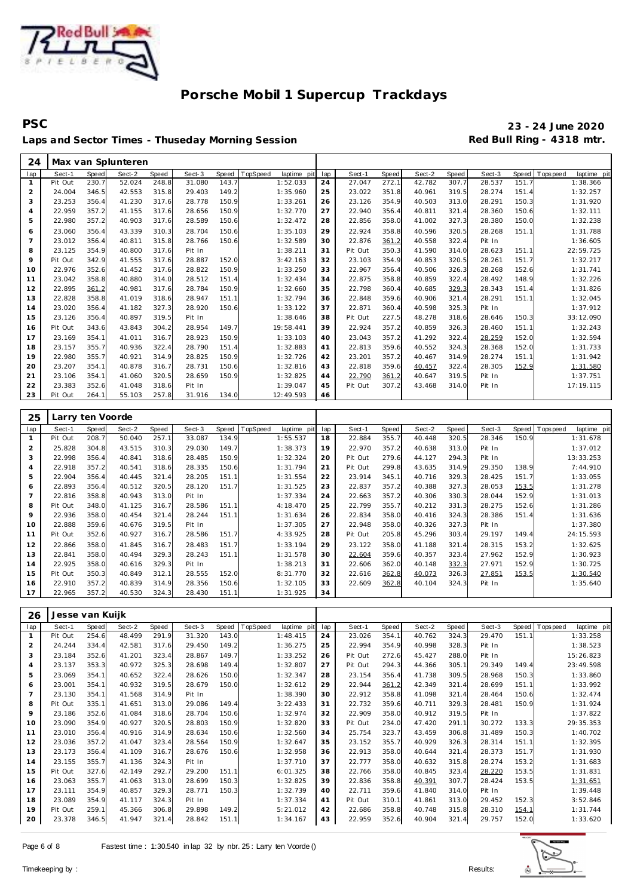

# Laps and Sector Times - Thuseday Morning Session **Red Bull Ring - 4318 mtr.**

# **PSC 23 - 24 June 2020**

| 24             |                  |       | Max van Splunteren |       |        |       |                         |     |         |              |        |       |        |       |                                  |
|----------------|------------------|-------|--------------------|-------|--------|-------|-------------------------|-----|---------|--------------|--------|-------|--------|-------|----------------------------------|
| lap            | Sect-1           | Speed | Sect-2             | Speed | Sect-3 | Speed | TopSpeed<br>laptime pit | lap | Sect-1  | <b>Speed</b> | Sect-2 | Speed | Sect-3 | Speed | T ops peed<br>laptime pit        |
| $\mathbf{1}$   | Pit Out          | 230.7 | 52.024             | 248.8 | 31.080 | 143.7 | 1:52.033                | 24  | 27.047  | 272.1        | 42.782 | 307.7 | 28.537 | 151.7 | 1:38.366                         |
| $\overline{c}$ | 24.004           | 346.5 | 42.553             | 315.8 | 29.403 | 149.2 | 1:35.960                | 25  | 23.022  | 351.8        | 40.961 | 319.5 | 28.274 | 151.4 | 1:32.257                         |
| 3              | 23.253           | 356.4 | 41.230             | 317.6 | 28.778 | 150.9 | 1:33.261                | 26  | 23.126  | 354.9        | 40.503 | 313.0 | 28.291 | 150.3 | 1:31.920                         |
| $\overline{4}$ | 22.959           | 357.2 | 41.155             | 317.6 | 28.656 | 150.9 | 1:32.770                | 27  | 22.940  | 356.4        | 40.811 | 321.4 | 28.360 | 150.6 | 1:32.111                         |
| 5              | 22.980           | 357.2 | 40.903             | 317.6 | 28.589 | 150.6 | 1:32.472                | 28  | 22.856  | 358.0        | 41.002 | 327.3 | 28.380 | 150.0 | 1:32.238                         |
| 6              | 23.060           | 356.4 | 43.339             | 310.3 | 28.704 | 150.6 | 1:35.103                | 29  | 22.924  | 358.8        | 40.596 | 320.5 | 28.268 | 151.1 | 1:31.788                         |
| $\overline{7}$ | 23.012           | 356.4 | 40.811             | 315.8 | 28.766 | 150.6 | 1:32.589                | 30  | 22.876  | 361.2        | 40.558 | 322.4 | Pit In |       | 1:36.605                         |
| 8              | 23.125           | 354.9 | 40.800             | 317.6 | Pit In |       | 1:38.211                | 31  | Pit Out | 350.3        | 41.590 | 314.0 | 28.623 | 151.1 | 22:59.725                        |
| 9              | Pit Out          | 342.9 | 41.555             | 317.6 | 28.887 | 152.0 | 3:42.163                | 32  | 23.103  | 354.9        | 40.853 | 320.5 | 28.261 | 151.7 | 1:32.217                         |
| 10             | 22.976           | 352.6 | 41.452             | 317.6 | 28.822 | 150.9 | 1:33.250                | 33  | 22.967  | 356.4        | 40.506 | 326.3 | 28.268 | 152.6 | 1:31.741                         |
| 11             | 23.042           | 358.8 | 40.880             | 314.0 | 28.512 | 151.4 | 1:32.434                | 34  | 22.875  | 358.8        | 40.859 | 322.4 | 28.492 | 148.9 | 1:32.226                         |
| 12             | 22.895           | 361.2 | 40.981             | 317.6 | 28.784 | 150.9 | 1:32.660                | 35  | 22.798  | 360.4        | 40.685 | 329.3 | 28.343 | 151.4 | 1:31.826                         |
| 13             | 22.828           | 358.8 | 41.019             | 318.6 | 28.947 | 151.1 | 1:32.794                | 36  | 22.848  | 359.6        | 40.906 | 321.4 | 28.291 | 151.1 | 1:32.045                         |
| 14             | 23.020           | 356.4 | 41.182             | 327.3 | 28.920 | 150.6 | 1:33.122                | 37  | 22.871  | 360.4        | 40.598 | 325.3 | Pit In |       | 1:37.912                         |
| 15             | 23.126           | 356.4 | 40.897             | 319.5 | Pit In |       | 1:38.646                | 38  | Pit Out | 227.5        | 48.278 | 318.6 | 28.646 | 150.3 | 33:12.090                        |
| 16             | Pit Out          | 343.6 | 43.843             | 304.2 | 28.954 | 149.7 | 19:58.441               | 39  | 22.924  | 357.2        | 40.859 | 326.3 | 28.460 | 151.1 | 1:32.243                         |
| 17             | 23.169           | 354.1 | 41.011             | 316.7 | 28.923 | 150.9 | 1:33.103                | 40  | 23.043  | 357.2        | 41.292 | 322.4 | 28.259 | 152.0 | 1:32.594                         |
| 18             | 23.157           | 355.7 | 40.936             | 322.4 | 28.790 | 151.4 | 1:32.883                | 41  | 22.813  | 359.6        | 40.552 | 324.3 | 28.368 | 152.0 | 1:31.733                         |
| 19             | 22.980           | 355.7 | 40.921             | 314.9 | 28.825 | 150.9 | 1:32.726                | 42  | 23.201  | 357.2        | 40.467 | 314.9 | 28.274 | 151.1 | 1:31.942                         |
|                |                  |       |                    |       |        |       |                         |     |         |              |        |       |        |       |                                  |
| 20             | 23.207           | 354.1 | 40.878             | 316.7 | 28.731 | 150.6 | 1:32.816                | 43  | 22.818  | 359.6        | 40.457 | 322.4 | 28.305 | 152.9 | 1:31.580                         |
| 21             | 23.106           | 354.1 | 41.060             | 320.5 | 28.659 | 150.9 | 1:32.825                | 44  | 22.790  | 361.2        | 40.647 | 319.5 | Pit In |       | 1:37.751                         |
| 22             | 23.383           | 352.6 | 41.048             | 318.6 | Pit In |       | 1:39.047                | 45  | Pit Out | 307.2        | 43.468 | 314.0 | Pit In |       | 17:19.115                        |
| 23             | Pit Out          | 264.1 | 55.103             | 257.8 | 31.916 | 134.0 | 12:49.593               | 46  |         |              |        |       |        |       |                                  |
|                |                  |       |                    |       |        |       |                         |     |         |              |        |       |        |       |                                  |
| 25             | Larry ten Voorde |       |                    |       |        |       |                         |     |         |              |        |       |        |       |                                  |
| lap            | Sect-1           | Speed | Sect-2             | Speed | Sect-3 | Speed | TopSpeed<br>laptime pit | lap | Sect-1  | <b>Speed</b> | Sect-2 | Speed | Sect-3 | Speed | laptime pit<br>T ops peed        |
| $\mathbf{1}$   | Pit Out          | 208.7 | 50.040             | 257.1 | 33.087 | 134.9 | 1:55.537                | 18  | 22.884  | 355.7        | 40.448 | 320.5 | 28.346 | 150.9 | 1:31.678                         |
| $\sqrt{2}$     | 25.828           | 304.8 | 43.515             | 310.3 | 29.030 | 149.7 | 1:38.373                | 19  | 22.970  | 357.2        | 40.638 | 313.0 | Pit In |       | 1:37.012                         |
| 3              | 22.998           | 356.4 | 40.841             | 318.6 | 28.485 | 150.9 | 1:32.324                | 20  | Pit Out | 279.6        | 44.127 | 294.3 | Pit In |       | 13:33.253                        |
| $\sqrt{4}$     | 22.918           | 357.2 | 40.541             | 318.6 | 28.335 | 150.6 | 1:31.794                | 21  | Pit Out | 299.8        | 43.635 | 314.9 | 29.350 | 138.9 | 7:44.910                         |
| 5              | 22.904           | 356.4 | 40.445             | 321.4 | 28.205 | 151.1 | 1:31.554                | 22  | 23.914  | 345.1        | 40.716 | 329.3 | 28.425 | 151.7 | 1:33.055                         |
| 6              | 22.893           | 356.4 | 40.512             | 320.5 | 28.120 | 151.7 | 1:31.525                | 23  | 22.837  | 357.2        | 40.388 | 327.3 | 28.053 | 153.5 | 1:31.278                         |
| $\overline{7}$ | 22.816           | 358.8 | 40.943             | 313.0 | Pit In |       | 1:37.334                | 24  | 22.663  | 357.2        | 40.306 | 330.3 | 28.044 | 152.9 | 1:31.013                         |
| 8              | Pit Out          | 348.0 | 41.125             | 316.7 | 28.586 | 151.1 | 4:18.470                | 25  | 22.799  | 355.7        | 40.212 | 331.3 | 28.275 | 152.6 | 1:31.286                         |
| 9              | 22.936           | 358.0 | 40.454             | 321.4 | 28.244 | 151.1 | 1:31.634                | 26  | 22.834  | 358.0        | 40.416 | 324.3 | 28.386 | 151.4 | 1:31.636                         |
| 10             | 22.888           | 359.6 | 40.676             | 319.5 | Pit In |       | 1:37.305                | 27  | 22.948  | 358.0        | 40.326 | 327.3 | Pit In |       | 1:37.380                         |
| 11             | Pit Out          | 352.6 | 40.927             | 316.7 | 28.586 | 151.7 | 4:33.925                | 28  | Pit Out | 205.8        | 45.296 | 303.4 | 29.197 | 149.4 | 24:15.593                        |
| 12             | 22.866           | 358.0 | 41.845             | 316.7 | 28.483 | 151.7 | 1:33.194                | 29  | 23.122  | 358.0        | 41.188 | 321.4 | 28.315 | 153.2 | 1:32.625                         |
| 13             | 22.841           | 358.0 | 40.494             | 329.3 | 28.243 | 151.1 | 1:31.578                | 30  | 22.604  | 359.6        | 40.357 | 323.4 | 27.962 | 152.9 | 1:30.923                         |
| 14             | 22.925           | 358.0 | 40.616             | 329.3 | Pit In |       | 1:38.213                | 31  | 22.606  | 362.0        | 40.148 | 332.3 | 27.971 | 152.9 | 1:30.725                         |
| 15             | Pit Out          | 350.3 | 40.849             | 312.1 | 28.555 | 152.0 | 8:31.770                | 32  | 22.616  | 362.8        | 40.073 | 326.3 | 27.851 | 153.5 | 1:30.540                         |
| 16             | 22.910           | 357.2 | 40.839             | 314.9 | 28.356 | 150.6 | 1:32.105                | 33  | 22.609  | 362.8        | 40.104 | 324.3 | Pit In |       | 1:35.640                         |
| 17             | 22.965           | 357.2 | 40.530             | 324.3 | 28.430 | 151.1 | 1:31.925                | 34  |         |              |        |       |        |       |                                  |
|                |                  |       |                    |       |        |       |                         |     |         |              |        |       |        |       |                                  |
|                |                  |       |                    |       |        |       |                         |     |         |              |        |       |        |       |                                  |
| 26             | Jesse van Kuijk  |       |                    |       |        |       |                         |     |         |              |        |       |        |       |                                  |
| lap            | Sect-1           | Speed | Sect-2             | Speed | Sect-3 | Speed | TopSpeed<br>laptime pit | lap | Sect-1  | Speed        | Sect-2 | Speed | Sect-3 |       | Speed   Tops peed<br>laptime pit |
| 1              | Pit Out          | 254.6 | 48.499             | 291.9 | 31.320 | 143.0 | 1:48.415                | 24  | 23.026  | 354.1        | 40.762 | 324.3 | 29.470 | 151.1 | 1:33.258                         |
| $\overline{2}$ | 24.244           | 334.4 | 42.581             | 317.6 | 29.450 | 149.2 | 1:36.275                | 25  | 22.994  | 354.9        | 40.998 | 328.3 | Pit In |       | 1:38.523                         |
| 3              | 23.184           | 352.6 | 41.201             | 323.4 | 28.867 | 149.7 | 1:33.252                | 26  | Pit Out | 272.6        | 45.427 | 288.0 | Pit In |       | 15:26.823                        |
| 4              | 23.137           | 353.3 | 40.972             | 325.3 | 28.698 | 149.4 | 1:32.807                | 27  | Pit Out | 294.3        | 44.366 | 305.1 | 29.349 | 149.4 | 23:49.598                        |
| 5              | 23.069           | 354.1 | 40.652             | 322.4 | 28.626 | 150.0 | 1:32.347                | 28  | 23.154  | 356.4        | 41.738 | 309.5 | 28.968 | 150.3 | 1:33.860                         |
| 6              | 23.001           | 354.1 | 40.932             | 319.5 | 28.679 | 150.0 | 1:32.612                | 29  | 22.944  | <u>361.2</u> | 42.349 | 321.4 | 28.699 | 151.1 | 1:33.992                         |
| $\overline{7}$ | 23.130           | 354.1 | 41.568             | 314.9 | Pit In |       | 1:38.390                | 30  | 22.912  | 358.8        | 41.098 | 321.4 | 28.464 | 150.6 | 1:32.474                         |
| 8              | Pit Out          | 335.1 | 41.651             | 313.0 | 29.086 | 149.4 | 3:22.433                | 31  | 22.732  | 359.6        | 40.711 | 329.3 | 28.481 | 150.9 | 1:31.924                         |
| 9              | 23.186           | 352.6 | 41.084             | 318.6 | 28.704 | 150.6 | 1:32.974                | 32  | 22.909  | 358.0        | 40.912 | 319.5 | Pit In |       | 1:37.822                         |
| 10             | 23.090           | 354.9 | 40.927             | 320.5 | 28.803 | 150.9 | 1:32.820                | 33  | Pit Out | 234.0        | 47.420 | 291.1 | 30.272 | 133.3 | 29:35.353                        |
| 11             | 23.010           | 356.4 | 40.916             | 314.9 | 28.634 | 150.6 | 1:32.560                | 34  | 25.754  | 323.7        | 43.459 | 306.8 | 31.489 | 150.3 | 1:40.702                         |
| 12             | 23.036           | 357.2 | 41.047             | 323.4 | 28.564 | 150.9 | 1:32.647                | 35  | 23.152  | 355.7        | 40.929 | 326.3 | 28.314 | 151.1 | 1:32.395                         |
| 13             | 23.173           | 356.4 | 41.109             | 316.7 | 28.676 | 150.6 | 1:32.958                | 36  | 22.913  | 358.0        | 40.644 | 321.4 | 28.373 | 151.7 | 1:31.930                         |
| 14             | 23.155           | 355.7 | 41.136             | 324.3 | Pit In |       | 1:37.710                | 37  | 22.777  | 358.0        | 40.632 | 315.8 | 28.274 | 153.2 | 1:31.683                         |
| 15             | Pit Out          | 327.6 | 42.149             | 292.7 | 29.200 | 151.1 | 6:01.325                | 38  | 22.766  | 358.0        | 40.845 | 323.4 | 28.220 | 153.5 | 1:31.831                         |

 23.063 355.7 41.063 313.0 28.699 150.3 1:32.825 23.111 354.9 40.857 329.3 28.771 150.3 1:32.739 18 23.089 354.9 41.117 324.3 Pit In 1:37.334<br>19 Pit Out 259.1 45.366 306.8 29.898 149.2 5:21.012 Pit Out 259.1 45.366 306.8 29.898 149.2 5:21.012<br>23.378 346.5 41.947 321.4 28.842 151.1 1:34.167 23.378 346.5 41.947 321.4 28.842 151.1 1:34.167



22.959 352.6 40.904 321.4 29.757 152.0 1:33.620

39 22.836 358.8 40.391 307.7 28.424 153.5 1:31.651 22.711 359.6 41.840 314.0 Pit In 1:39.448 Pit Out 310.1 41.861 313.0 29.452 152.3 3:52.846 42 22.686 358.8 40.748 315.8 28.310 <u>154.1</u> 1:31.744<br>43 22.959 352.6 40.904 321.4 29.757 152.0 1:33.620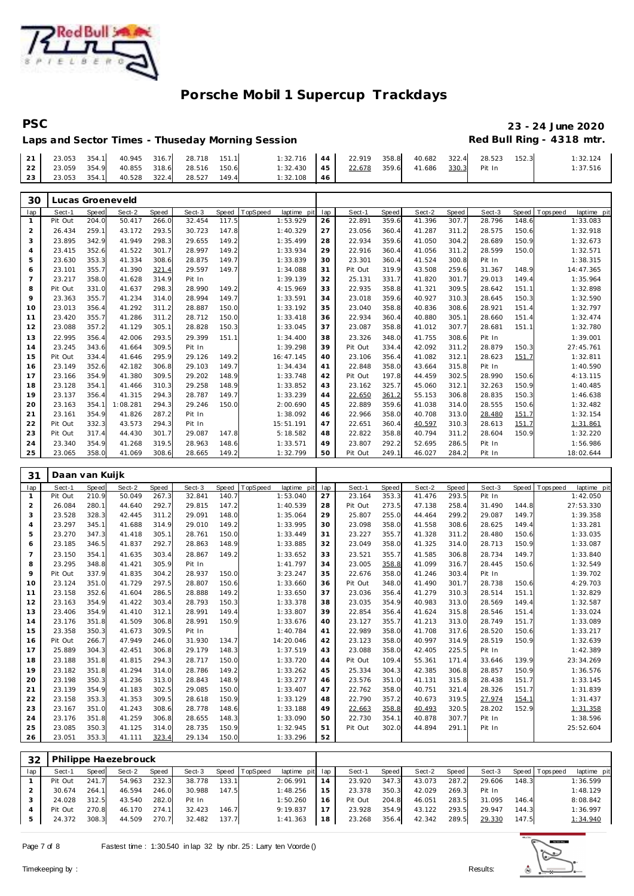

## PSC 23 - 24 June 2020<br>Laps and Sector Times - Thuseday Morning Session **1998 2009** Red Bull Ring - 4318 mtr. Laps and Sector Times - Thuseday Morning Session

|  |                                           |  | $1:32.716$ 44 22.919 358.8 40.682 322.4 28.523 152.3 |  |  |  | 1:32.124 |
|--|-------------------------------------------|--|------------------------------------------------------|--|--|--|----------|
|  | 22 23.059 354.9 40.855 318.6 28.516 150.6 |  | 1:32.430 45 22.678 359.6 41.686 330.3 Pit In         |  |  |  | 1:37.516 |
|  | 23 23.053 354.1 40.528 322.4 28.527 149.4 |  | $1:32.108$   46                                      |  |  |  |          |

| 30             | Lucas Groeneveld |       |          |              |        |       |           |             |     |         |       |        |       |        |       |           |             |
|----------------|------------------|-------|----------|--------------|--------|-------|-----------|-------------|-----|---------|-------|--------|-------|--------|-------|-----------|-------------|
| lap            | Sect-1           | Speed | Sect-2   | <b>Speed</b> | Sect-3 | Speed | TopSpeed  | laptime pit | lap | Sect-1  | Speed | Sect-2 | Speed | Sect-3 | Speed | Tops peed | laptime pit |
| $\mathbf{1}$   | Pit Out          | 204.0 | 50.417   | 266.C        | 32.454 | 117.5 |           | 1:53.929    | 26  | 22.891  | 359.6 | 41.396 | 307.7 | 28.796 | 148.6 |           | 1:33.083    |
| 2              | 26.434           | 259.1 | 43.172   | 293.5        | 30.723 | 147.8 |           | 1:40.329    | 27  | 23.056  | 360.4 | 41.287 | 311.2 | 28.575 | 150.6 |           | 1:32.918    |
| 3              | 23.895           | 342.9 | 41.949   | 298.3        | 29.655 | 149.2 |           | 1:35.499    | 28  | 22.934  | 359.6 | 41.050 | 304.2 | 28.689 | 150.9 |           | 1:32.673    |
| $\overline{4}$ | 23.415           | 352.6 | 41.522   | 301.7        | 28.997 | 149.2 |           | 1:33.934    | 29  | 22.916  | 360.4 | 41.056 | 311.2 | 28.599 | 150.0 |           | 1:32.571    |
| 5              | 23.630           | 353.3 | 41.334   | 308.6        | 28.875 | 149.7 |           | 1:33.839    | 30  | 23.301  | 360.4 | 41.524 | 300.8 | Pit In |       |           | 1:38.315    |
| 6              | 23.101           | 355.7 | 41.390   | 321.4        | 29.597 | 149.7 |           | 1:34.088    | 31  | Pit Out | 319.9 | 43.508 | 259.6 | 31.367 | 148.9 |           | 14:47.365   |
| $\overline{7}$ | 23.217           | 358.0 | 41.628   | 314.9        | Pit In |       |           | 1:39.139    | 32  | 25.131  | 331.7 | 41.820 | 301.7 | 29.013 | 149.4 |           | 1:35.964    |
| 8              | Pit Out          | 331.0 | 41.637   | 298.3        | 28.990 | 149.2 |           | 4:15.969    | 33  | 22.935  | 358.8 | 41.321 | 309.5 | 28.642 | 151.1 |           | 1:32.898    |
| 9              | 23.363           | 355.7 | 41.234   | 314.0        | 28.994 | 149.7 |           | 1:33.591    | 34  | 23.018  | 359.6 | 40.927 | 310.3 | 28.645 | 150.3 |           | 1:32.590    |
| 10             | 23.013           | 356.4 | 41.292   | 311.2        | 28.887 | 150.0 |           | 1:33.192    | 35  | 23.040  | 358.8 | 40.836 | 308.6 | 28.921 | 151.4 |           | 1:32.797    |
| 11             | 23.420           | 355.7 | 41.286   | 311.2        | 28.712 | 150.0 |           | 1:33.418    | 36  | 22.934  | 360.4 | 40.880 | 305.1 | 28.660 | 151.4 |           | 1:32.474    |
| 12             | 23.088           | 357.2 | 41.129   | 305.1        | 28.828 | 150.3 |           | 1:33.045    | 37  | 23.087  | 358.8 | 41.012 | 307.7 | 28.681 | 151.1 |           | 1:32.780    |
| 13             | 22.995           | 356.4 | 42.006   | 293.5        | 29.399 | 151.1 |           | 1:34.400    | 38  | 23.326  | 348.0 | 41.755 | 308.6 | Pit In |       |           | 1:39.001    |
| 14             | 23.245           | 343.6 | 41.664   | 309.5        | Pit In |       |           | 1:39.298    | 39  | Pit Out | 334.4 | 42.092 | 311.2 | 28.879 | 150.3 |           | 27:45.761   |
| 15             | Pit Out          | 334.4 | 41.646   | 295.9        | 29.126 | 149.2 | 16:47.145 |             | 40  | 23.106  | 356.4 | 41.082 | 312.1 | 28.623 | 151.7 |           | 1:32.811    |
| 16             | 23.149           | 352.6 | 42.182   | 306.8        | 29.103 | 149.7 |           | 1:34.434    | 41  | 22.848  | 358.0 | 43.664 | 315.8 | Pit In |       |           | 1:40.590    |
| 17             | 23.166           | 354.9 | 41.380   | 309.5        | 29.202 | 148.9 |           | 1:33.748    | 42  | Pit Out | 197.8 | 44.459 | 302.5 | 28.990 | 150.6 |           | 4:13.115    |
| 18             | 23.128           | 354.1 | 41.466   | 310.3        | 29.258 | 148.9 |           | 1:33.852    | 43  | 23.162  | 325.7 | 45.060 | 312.1 | 32.263 | 150.9 |           | 1:40.485    |
| 19             | 23.137           | 356.4 | 41.315   | 294.3        | 28.787 | 149.7 |           | 1:33.239    | 44  | 22.650  | 361.2 | 55.153 | 306.8 | 28.835 | 150.3 |           | 1:46.638    |
| 20             | 23.163           | 354.1 | 1:08.281 | 294.3        | 29.246 | 150.0 |           | 2:00.690    | 45  | 22.889  | 359.6 | 41.038 | 314.0 | 28.555 | 150.6 |           | 1:32.482    |
| 21             | 23.161           | 354.9 | 41.826   | 287.2        | Pit In |       |           | 1:38.092    | 46  | 22.966  | 358.0 | 40.708 | 313.0 | 28.480 | 151.7 |           | 1:32.154    |
| 22             | Pit Out          | 332.3 | 43.573   | 294.3        | Pit In |       | 15:51.191 |             | 47  | 22.651  | 360.4 | 40.597 | 310.3 | 28.613 | 151.7 |           | 1:31.861    |
| 23             | Pit Out          | 317.4 | 44.430   | 301.7        | 29.087 | 147.8 |           | 5:18.582    | 48  | 22.822  | 358.8 | 40.794 | 311.2 | 28.604 | 150.9 |           | 1:32.220    |
| 24             | 23.340           | 354.9 | 41.268   | 319.5        | 28.963 | 148.6 |           | 1:33.571    | 49  | 23.807  | 292.2 | 52.695 | 286.5 | Pit In |       |           | 1:56.986    |
| 25             | 23.065           | 358.0 | 41.069   | 308.6        | 28.665 | 149.2 |           | 1:32.799    | 50  | Pit Out | 249.1 | 46.027 | 284.2 | Pit In |       |           | 18:02.644   |

| 31              | Daan van Kuijk |       |        |       |        |       |          |             |     |         |       |        |       |        |       |            |             |
|-----------------|----------------|-------|--------|-------|--------|-------|----------|-------------|-----|---------|-------|--------|-------|--------|-------|------------|-------------|
| lap             | Sect-1         | Speed | Sect-2 | Speed | Sect-3 | Speed | TopSpeed | laptime pit | lap | Sect-1  | Speed | Sect-2 | Speed | Sect-3 | Speed | T ops peed | laptime pit |
| $\mathbf{1}$    | Pit Out        | 210.9 | 50.049 | 267.3 | 32.841 | 140.7 |          | 1:53.040    | 27  | 23.164  | 353.3 | 41.476 | 293.5 | Pit In |       |            | 1:42.050    |
| 2               | 26.084         | 280.1 | 44.640 | 292.7 | 29.815 | 147.2 |          | 1:40.539    | 28  | Pit Out | 273.5 | 47.138 | 258.4 | 31.490 | 144.8 |            | 27:53.330   |
| 3               | 23.528         | 328.3 | 42.445 | 311.2 | 29.091 | 148.0 |          | 1:35.064    | 29  | 25.807  | 255.0 | 44.464 | 299.2 | 29.087 | 149.7 |            | 1:39.358    |
| $\overline{4}$  | 23.297         | 345.1 | 41.688 | 314.9 | 29.010 | 149.2 |          | 1:33.995    | 30  | 23.098  | 358.0 | 41.558 | 308.6 | 28.625 | 149.4 |            | 1:33.281    |
| 5               | 23.270         | 347.3 | 41.418 | 305.1 | 28.761 | 150.0 |          | 1:33.449    | 31  | 23.227  | 355.7 | 41.328 | 311.2 | 28.480 | 150.6 |            | 1:33.035    |
| 6               | 23.185         | 346.5 | 41.837 | 292.7 | 28.863 | 148.9 |          | 1:33.885    | 32  | 23.049  | 358.0 | 41.325 | 314.0 | 28.713 | 150.9 |            | 1:33.087    |
| $7\overline{ }$ | 23.150         | 354.1 | 41.635 | 303.4 | 28.867 | 149.2 |          | 1:33.652    | 33  | 23.521  | 355.7 | 41.585 | 306.8 | 28.734 | 149.7 |            | 1:33.840    |
| 8               | 23.295         | 348.8 | 41.421 | 305.9 | Pit In |       |          | 1:41.797    | 34  | 23.005  | 358.8 | 41.099 | 316.7 | 28.445 | 150.6 |            | 1:32.549    |
| 9               | Pit Out        | 337.9 | 41.835 | 304.2 | 28.937 | 150.0 |          | 3:23.247    | 35  | 22.676  | 358.0 | 41.246 | 303.4 | Pit In |       |            | 1:39.702    |
| 10              | 23.124         | 351.0 | 41.729 | 297.5 | 28.807 | 150.6 |          | 1:33.660    | 36  | Pit Out | 348.0 | 41.490 | 301.7 | 28.738 | 150.6 |            | 4:29.703    |
| 11              | 23.158         | 352.6 | 41.604 | 286.5 | 28.888 | 149.2 |          | 1:33.650    | 37  | 23.036  | 356.4 | 41.279 | 310.3 | 28.514 | 151.1 |            | 1:32.829    |
| 12              | 23.163         | 354.9 | 41.422 | 303.4 | 28.793 | 150.3 |          | 1:33.378    | 38  | 23.035  | 354.9 | 40.983 | 313.0 | 28.569 | 149.4 |            | 1:32.587    |
| 13              | 23.406         | 354.9 | 41.410 | 312.1 | 28.991 | 149.4 |          | 1:33.807    | 39  | 22.854  | 356.4 | 41.624 | 315.8 | 28.546 | 151.4 |            | 1:33.024    |
| 14              | 23.176         | 351.8 | 41.509 | 306.8 | 28.991 | 150.9 |          | 1:33.676    | 40  | 23.127  | 355.7 | 41.213 | 313.0 | 28.749 | 151.7 |            | 1:33.089    |
| 15              | 23.358         | 350.3 | 41.673 | 309.5 | Pit In |       |          | 1:40.784    | 41  | 22.989  | 358.0 | 41.708 | 317.6 | 28.520 | 150.6 |            | 1:33.217    |
| 16              | Pit Out        | 266.7 | 47.949 | 246.0 | 31.930 | 134.7 |          | 14:20.046   | 42  | 23.123  | 358.0 | 40.997 | 314.9 | 28.519 | 150.9 |            | 1:32.639    |
| 17              | 25.889         | 304.3 | 42.451 | 306.8 | 29.179 | 148.3 |          | 1:37.519    | 43  | 23.088  | 358.0 | 42.405 | 225.5 | Pit In |       |            | 1:42.389    |
| 18              | 23.188         | 351.8 | 41.815 | 294.3 | 28.717 | 150.0 |          | 1:33.720    | 44  | Pit Out | 109.4 | 55.361 | 171.4 | 33.646 | 139.9 |            | 23:34.269   |
| 19              | 23.182         | 351.8 | 41.294 | 314.0 | 28.786 | 149.2 |          | 1:33.262    | 45  | 25.334  | 304.3 | 42.385 | 306.8 | 28.857 | 150.9 |            | 1:36.576    |
| 20              | 23.198         | 350.3 | 41.236 | 313.0 | 28.843 | 148.9 |          | 1:33.277    | 46  | 23.576  | 351.0 | 41.131 | 315.8 | 28.438 | 151.7 |            | 1:33.145    |
| 21              | 23.139         | 354.9 | 41.183 | 302.5 | 29.085 | 150.0 |          | 1:33.407    | 47  | 22.762  | 358.0 | 40.751 | 321.4 | 28.326 | 151.7 |            | 1:31.839    |
| 22              | 23.158         | 353.3 | 41.353 | 309.5 | 28.618 | 150.9 |          | 1:33.129    | 48  | 22.790  | 357.2 | 40.673 | 319.5 | 27.974 | 154.1 |            | 1:31.437    |
| 23              | 23.167         | 351.0 | 41.243 | 308.6 | 28.778 | 148.6 |          | 1:33.188    | 49  | 22.663  | 358.8 | 40.493 | 320.5 | 28.202 | 152.9 |            | 1:31.358    |
| 24              | 23.176         | 351.8 | 41.259 | 306.8 | 28.655 | 148.3 |          | 1:33.090    | 50  | 22.730  | 354.1 | 40.878 | 307.7 | Pit In |       |            | 1:38.596    |
| 25              | 23.085         | 350.3 | 41.125 | 314.0 | 28.735 | 150.9 |          | 1:32.945    | 51  | Pit Out | 302.0 | 44.894 | 291.1 | Pit In |       |            | 25:52.604   |
| 26              | 23.051         | 353.3 | 41.111 | 323.4 | 29.134 | 150.0 |          | 1:33.296    | 52  |         |       |        |       |        |       |            |             |

| 32  |         |       | Philippe Haezebrouck |       |        |       |                |                 |    |         |       |        |       |        |       |                |             |
|-----|---------|-------|----------------------|-------|--------|-------|----------------|-----------------|----|---------|-------|--------|-------|--------|-------|----------------|-------------|
| lap | Sect-1  | Speed | Sect-2               | Speed | Sect-3 |       | Speed TopSpeed | laptime pit lap |    | Sect-1  | Speed | Sect-2 | Speed | Sect-3 |       | Speed Topspeed | laptime pit |
|     | Pit Out | 241.7 | 54.963               | 232.3 | 38.778 | 133.1 |                | 2:06.991        | 14 | 23.920  | 347.3 | 43.073 | 287.2 | 29.606 | 148.3 |                | 1:36.599    |
|     | 30.674  | 264.1 | 46.594               | 246.0 | 30.988 | 147.5 |                | 1:48.256        | 15 | 23.378  | 350.3 | 42.029 | 269.3 | Pit In |       |                | 1:48.129    |
|     | 24.028  | 312.5 | 43.540               | 282.0 | Pit In |       |                | 1:50.260        | 16 | Pit Out | 204.8 | 46.051 | 283.5 | 31.095 | 146.4 |                | 8:08.842    |
|     | Pit Out | 270.8 | 46.170               | 274.1 | 32.423 | 146.7 |                | 9:19.837        | 17 | 23.928  | 354.9 | 43.122 | 293.5 | 29.947 | 144.3 |                | 1:36.997    |
|     | 24.372  | 308.3 | 44.509               | 270.7 | 32.482 | 137.7 |                | 1:41.363        | 18 | 23.268  | 356.4 | 42.342 | 289.5 | 29.330 | 147.5 |                | 1:34.940    |